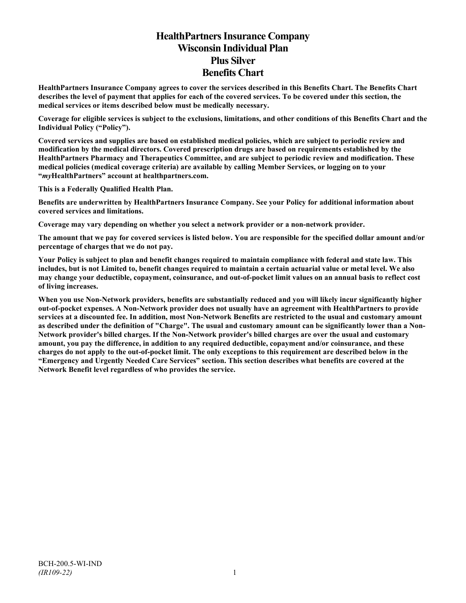# **HealthPartners Insurance Company Wisconsin Individual Plan Plus Silver Benefits Chart**

**HealthPartners Insurance Company agrees to cover the services described in this Benefits Chart. The Benefits Chart describes the level of payment that applies for each of the covered services. To be covered under this section, the medical services or items described below must be medically necessary.**

**Coverage for eligible services is subject to the exclusions, limitations, and other conditions of this Benefits Chart and the Individual Policy ("Policy").**

**Covered services and supplies are based on established medical policies, which are subject to periodic review and modification by the medical directors. Covered prescription drugs are based on requirements established by the HealthPartners Pharmacy and Therapeutics Committee, and are subject to periodic review and modification. These medical policies (medical coverage criteria) are available by calling Member Services, or logging on to your "***my***HealthPartners" account at [healthpartners.com.](http://www.healthpartners.com/)**

**This is a Federally Qualified Health Plan.**

**Benefits are underwritten by HealthPartners Insurance Company. See your Policy for additional information about covered services and limitations.**

**Coverage may vary depending on whether you select a network provider or a non-network provider.**

**The amount that we pay for covered services is listed below. You are responsible for the specified dollar amount and/or percentage of charges that we do not pay.**

**Your Policy is subject to plan and benefit changes required to maintain compliance with federal and state law. This includes, but is not Limited to, benefit changes required to maintain a certain actuarial value or metal level. We also may change your deductible, copayment, coinsurance, and out-of-pocket limit values on an annual basis to reflect cost of living increases.**

**When you use Non-Network providers, benefits are substantially reduced and you will likely incur significantly higher out-of-pocket expenses. A Non-Network provider does not usually have an agreement with HealthPartners to provide services at a discounted fee. In addition, most Non-Network Benefits are restricted to the usual and customary amount as described under the definition of "Charge". The usual and customary amount can be significantly lower than a Non-Network provider's billed charges. If the Non-Network provider's billed charges are over the usual and customary amount, you pay the difference, in addition to any required deductible, copayment and/or coinsurance, and these charges do not apply to the out-of-pocket limit. The only exceptions to this requirement are described below in the "Emergency and Urgently Needed Care Services" section. This section describes what benefits are covered at the Network Benefit level regardless of who provides the service.**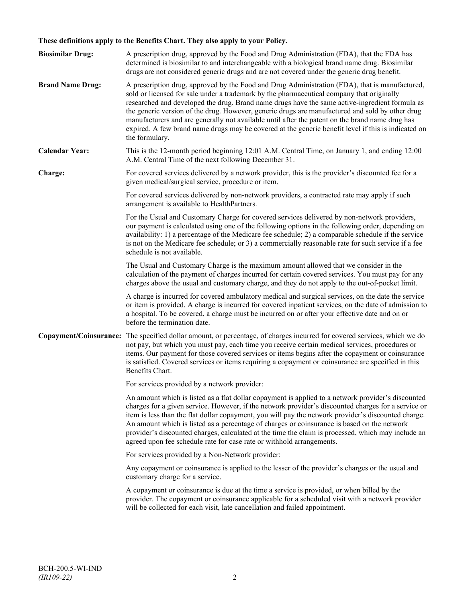## **These definitions apply to the Benefits Chart. They also apply to your Policy.**

| <b>Biosimilar Drug:</b> | A prescription drug, approved by the Food and Drug Administration (FDA), that the FDA has<br>determined is biosimilar to and interchangeable with a biological brand name drug. Biosimilar<br>drugs are not considered generic drugs and are not covered under the generic drug benefit.                                                                                                                                                                                                                                                                                                                                     |
|-------------------------|------------------------------------------------------------------------------------------------------------------------------------------------------------------------------------------------------------------------------------------------------------------------------------------------------------------------------------------------------------------------------------------------------------------------------------------------------------------------------------------------------------------------------------------------------------------------------------------------------------------------------|
| <b>Brand Name Drug:</b> | A prescription drug, approved by the Food and Drug Administration (FDA), that is manufactured,<br>sold or licensed for sale under a trademark by the pharmaceutical company that originally<br>researched and developed the drug. Brand name drugs have the same active-ingredient formula as<br>the generic version of the drug. However, generic drugs are manufactured and sold by other drug<br>manufacturers and are generally not available until after the patent on the brand name drug has<br>expired. A few brand name drugs may be covered at the generic benefit level if this is indicated on<br>the formulary. |
| <b>Calendar Year:</b>   | This is the 12-month period beginning 12:01 A.M. Central Time, on January 1, and ending 12:00<br>A.M. Central Time of the next following December 31.                                                                                                                                                                                                                                                                                                                                                                                                                                                                        |
| Charge:                 | For covered services delivered by a network provider, this is the provider's discounted fee for a<br>given medical/surgical service, procedure or item.                                                                                                                                                                                                                                                                                                                                                                                                                                                                      |
|                         | For covered services delivered by non-network providers, a contracted rate may apply if such<br>arrangement is available to HealthPartners.                                                                                                                                                                                                                                                                                                                                                                                                                                                                                  |
|                         | For the Usual and Customary Charge for covered services delivered by non-network providers,<br>our payment is calculated using one of the following options in the following order, depending on<br>availability: 1) a percentage of the Medicare fee schedule; 2) a comparable schedule if the service<br>is not on the Medicare fee schedule; or 3) a commercially reasonable rate for such service if a fee<br>schedule is not available.                                                                                                                                                                                 |
|                         | The Usual and Customary Charge is the maximum amount allowed that we consider in the<br>calculation of the payment of charges incurred for certain covered services. You must pay for any<br>charges above the usual and customary charge, and they do not apply to the out-of-pocket limit.                                                                                                                                                                                                                                                                                                                                 |
|                         | A charge is incurred for covered ambulatory medical and surgical services, on the date the service<br>or item is provided. A charge is incurred for covered inpatient services, on the date of admission to<br>a hospital. To be covered, a charge must be incurred on or after your effective date and on or<br>before the termination date.                                                                                                                                                                                                                                                                                |
|                         | Copayment/Coinsurance: The specified dollar amount, or percentage, of charges incurred for covered services, which we do<br>not pay, but which you must pay, each time you receive certain medical services, procedures or<br>items. Our payment for those covered services or items begins after the copayment or coinsurance<br>is satisfied. Covered services or items requiring a copayment or coinsurance are specified in this<br>Benefits Chart.                                                                                                                                                                      |
|                         | For services provided by a network provider:                                                                                                                                                                                                                                                                                                                                                                                                                                                                                                                                                                                 |
|                         | An amount which is listed as a flat dollar copayment is applied to a network provider's discounted<br>charges for a given service. However, if the network provider's discounted charges for a service or<br>item is less than the flat dollar copayment, you will pay the network provider's discounted charge.<br>An amount which is listed as a percentage of charges or coinsurance is based on the network<br>provider's discounted charges, calculated at the time the claim is processed, which may include an<br>agreed upon fee schedule rate for case rate or withhold arrangements.                               |
|                         | For services provided by a Non-Network provider:                                                                                                                                                                                                                                                                                                                                                                                                                                                                                                                                                                             |
|                         | Any copayment or coinsurance is applied to the lesser of the provider's charges or the usual and<br>customary charge for a service.                                                                                                                                                                                                                                                                                                                                                                                                                                                                                          |
|                         | A copayment or coinsurance is due at the time a service is provided, or when billed by the<br>provider. The copayment or coinsurance applicable for a scheduled visit with a network provider<br>will be collected for each visit, late cancellation and failed appointment.                                                                                                                                                                                                                                                                                                                                                 |
|                         |                                                                                                                                                                                                                                                                                                                                                                                                                                                                                                                                                                                                                              |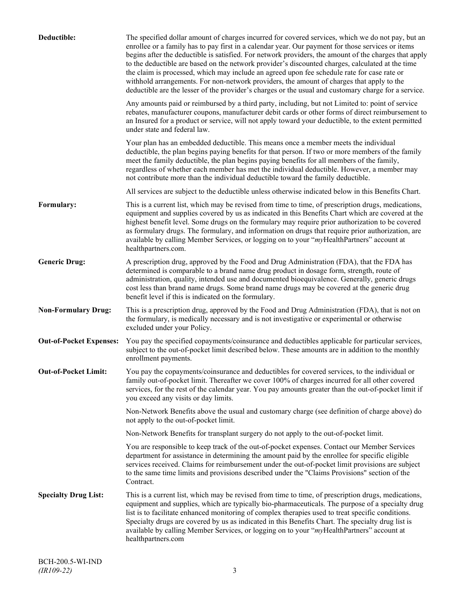| Deductible:                    | The specified dollar amount of charges incurred for covered services, which we do not pay, but an<br>enrollee or a family has to pay first in a calendar year. Our payment for those services or items<br>begins after the deductible is satisfied. For network providers, the amount of the charges that apply<br>to the deductible are based on the network provider's discounted charges, calculated at the time<br>the claim is processed, which may include an agreed upon fee schedule rate for case rate or<br>withhold arrangements. For non-network providers, the amount of charges that apply to the<br>deductible are the lesser of the provider's charges or the usual and customary charge for a service. |
|--------------------------------|-------------------------------------------------------------------------------------------------------------------------------------------------------------------------------------------------------------------------------------------------------------------------------------------------------------------------------------------------------------------------------------------------------------------------------------------------------------------------------------------------------------------------------------------------------------------------------------------------------------------------------------------------------------------------------------------------------------------------|
|                                | Any amounts paid or reimbursed by a third party, including, but not Limited to: point of service<br>rebates, manufacturer coupons, manufacturer debit cards or other forms of direct reimbursement to<br>an Insured for a product or service, will not apply toward your deductible, to the extent permitted<br>under state and federal law.                                                                                                                                                                                                                                                                                                                                                                            |
|                                | Your plan has an embedded deductible. This means once a member meets the individual<br>deductible, the plan begins paying benefits for that person. If two or more members of the family<br>meet the family deductible, the plan begins paying benefits for all members of the family,<br>regardless of whether each member has met the individual deductible. However, a member may<br>not contribute more than the individual deductible toward the family deductible.                                                                                                                                                                                                                                                |
|                                | All services are subject to the deductible unless otherwise indicated below in this Benefits Chart.                                                                                                                                                                                                                                                                                                                                                                                                                                                                                                                                                                                                                     |
| Formulary:                     | This is a current list, which may be revised from time to time, of prescription drugs, medications,<br>equipment and supplies covered by us as indicated in this Benefits Chart which are covered at the<br>highest benefit level. Some drugs on the formulary may require prior authorization to be covered<br>as formulary drugs. The formulary, and information on drugs that require prior authorization, are<br>available by calling Member Services, or logging on to your "myHealthPartners" account at<br>healthpartners.com.                                                                                                                                                                                   |
| <b>Generic Drug:</b>           | A prescription drug, approved by the Food and Drug Administration (FDA), that the FDA has<br>determined is comparable to a brand name drug product in dosage form, strength, route of<br>administration, quality, intended use and documented bioequivalence. Generally, generic drugs<br>cost less than brand name drugs. Some brand name drugs may be covered at the generic drug<br>benefit level if this is indicated on the formulary.                                                                                                                                                                                                                                                                             |
| <b>Non-Formulary Drug:</b>     | This is a prescription drug, approved by the Food and Drug Administration (FDA), that is not on<br>the formulary, is medically necessary and is not investigative or experimental or otherwise<br>excluded under your Policy.                                                                                                                                                                                                                                                                                                                                                                                                                                                                                           |
| <b>Out-of-Pocket Expenses:</b> | You pay the specified copayments/coinsurance and deductibles applicable for particular services,<br>subject to the out-of-pocket limit described below. These amounts are in addition to the monthly<br>enrollment payments.                                                                                                                                                                                                                                                                                                                                                                                                                                                                                            |
| <b>Out-of-Pocket Limit:</b>    | You pay the copayments/coinsurance and deductibles for covered services, to the individual or<br>family out-of-pocket limit. Thereafter we cover 100% of charges incurred for all other covered<br>services, for the rest of the calendar year. You pay amounts greater than the out-of-pocket limit if<br>you exceed any visits or day limits.                                                                                                                                                                                                                                                                                                                                                                         |
|                                | Non-Network Benefits above the usual and customary charge (see definition of charge above) do<br>not apply to the out-of-pocket limit.                                                                                                                                                                                                                                                                                                                                                                                                                                                                                                                                                                                  |
|                                | Non-Network Benefits for transplant surgery do not apply to the out-of-pocket limit.                                                                                                                                                                                                                                                                                                                                                                                                                                                                                                                                                                                                                                    |
|                                | You are responsible to keep track of the out-of-pocket expenses. Contact our Member Services<br>department for assistance in determining the amount paid by the enrollee for specific eligible<br>services received. Claims for reimbursement under the out-of-pocket limit provisions are subject<br>to the same time limits and provisions described under the "Claims Provisions" section of the<br>Contract.                                                                                                                                                                                                                                                                                                        |
| <b>Specialty Drug List:</b>    | This is a current list, which may be revised from time to time, of prescription drugs, medications,<br>equipment and supplies, which are typically bio-pharmaceuticals. The purpose of a specialty drug<br>list is to facilitate enhanced monitoring of complex therapies used to treat specific conditions.<br>Specialty drugs are covered by us as indicated in this Benefits Chart. The specialty drug list is<br>available by calling Member Services, or logging on to your "myHealthPartners" account at<br>healthpartners.com                                                                                                                                                                                    |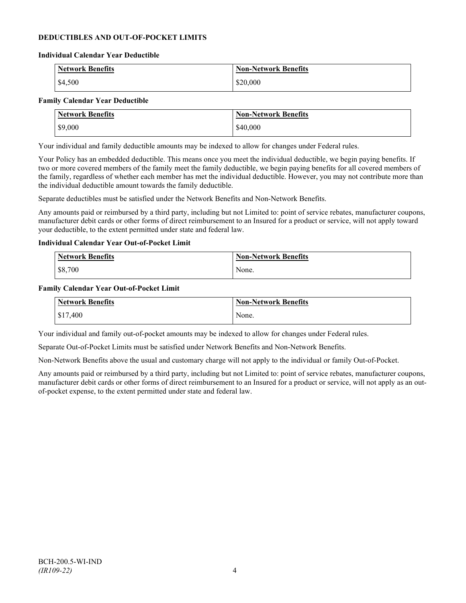### **DEDUCTIBLES AND OUT-OF-POCKET LIMITS**

#### **Individual Calendar Year Deductible**

| <b>Network Benefits</b> | <b>Non-Network Benefits</b> |
|-------------------------|-----------------------------|
| \$4,500                 | \$20,000                    |

#### **Family Calendar Year Deductible**

| <b>Network Benefits</b> | <b>Non-Network Benefits</b> |
|-------------------------|-----------------------------|
| \$9,000                 | \$40,000                    |

Your individual and family deductible amounts may be indexed to allow for changes under Federal rules.

Your Policy has an embedded deductible. This means once you meet the individual deductible, we begin paying benefits. If two or more covered members of the family meet the family deductible, we begin paying benefits for all covered members of the family, regardless of whether each member has met the individual deductible. However, you may not contribute more than the individual deductible amount towards the family deductible.

Separate deductibles must be satisfied under the Network Benefits and Non-Network Benefits.

Any amounts paid or reimbursed by a third party, including but not Limited to: point of service rebates, manufacturer coupons, manufacturer debit cards or other forms of direct reimbursement to an Insured for a product or service, will not apply toward your deductible, to the extent permitted under state and federal law.

#### **Individual Calendar Year Out-of-Pocket Limit**

| <b>Network Benefits</b> | <b>Non-Network Benefits</b> |
|-------------------------|-----------------------------|
| \$8,700                 | None.                       |

#### **Family Calendar Year Out-of-Pocket Limit**

| Network Benefits       | <b>Non-Network Benefits</b> |
|------------------------|-----------------------------|
| $\frac{1}{2}$ \$17,400 | None.                       |

Your individual and family out-of-pocket amounts may be indexed to allow for changes under Federal rules.

Separate Out-of-Pocket Limits must be satisfied under Network Benefits and Non-Network Benefits.

Non-Network Benefits above the usual and customary charge will not apply to the individual or family Out-of-Pocket.

Any amounts paid or reimbursed by a third party, including but not Limited to: point of service rebates, manufacturer coupons, manufacturer debit cards or other forms of direct reimbursement to an Insured for a product or service, will not apply as an outof-pocket expense, to the extent permitted under state and federal law.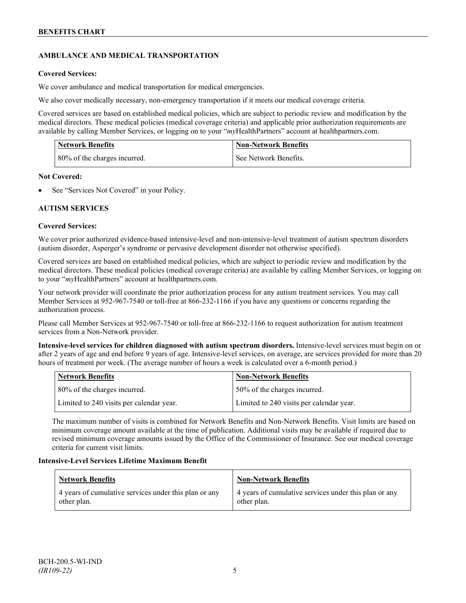## **AMBULANCE AND MEDICAL TRANSPORTATION**

### **Covered Services:**

We cover ambulance and medical transportation for medical emergencies.

We also cover medically necessary, non-emergency transportation if it meets our medical coverage criteria.

Covered services are based on established medical policies, which are subject to periodic review and modification by the medical directors. These medical policies (medical coverage criteria) and applicable prior authorization requirements are available by calling Member Services, or logging on to your "*my*HealthPartners" account a[t healthpartners.com.](http://www.healthpartners.com/)

| <b>Network Benefits</b>      | <b>Non-Network Benefits</b> |
|------------------------------|-----------------------------|
| 80% of the charges incurred. | See Network Benefits.       |

### **Not Covered:**

See "Services Not Covered" in your Policy.

### **AUTISM SERVICES**

### **Covered Services:**

We cover prior authorized evidence-based intensive-level and non-intensive-level treatment of autism spectrum disorders (autism disorder, Asperger's syndrome or pervasive development disorder not otherwise specified).

Covered services are based on established medical policies, which are subject to periodic review and modification by the medical directors. These medical policies (medical coverage criteria) are available by calling Member Services, or logging on to your "*my*HealthPartners" account at [healthpartners.com.](http://www.healthpartners.com/)

Your network provider will coordinate the prior authorization process for any autism treatment services. You may call Member Services at 952-967-7540 or toll-free at 866-232-1166 if you have any questions or concerns regarding the authorization process.

Please call Member Services at 952-967-7540 or toll-free at 866-232-1166 to request authorization for autism treatment services from a Non-Network provider.

**Intensive-level services for children diagnosed with autism spectrum disorders.** Intensive-level services must begin on or after 2 years of age and end before 9 years of age. Intensive-level services, on average, are services provided for more than 20 hours of treatment per week. (The average number of hours a week is calculated over a 6-month period.)

| Network Benefits                         | <b>Non-Network Benefits</b>              |
|------------------------------------------|------------------------------------------|
| 80% of the charges incurred.             | 50% of the charges incurred.             |
| Limited to 240 visits per calendar year. | Limited to 240 visits per calendar year. |

The maximum number of visits is combined for Network Benefits and Non-Network Benefits. Visit limits are based on minimum coverage amount available at the time of publication. Additional visits may be available if required due to revised minimum coverage amounts issued by the Office of the Commissioner of Insurance. See our medical coverage criteria for current visit limits.

### **Intensive-Level Services Lifetime Maximum Benefit**

| Network Benefits                                                     | <b>Non-Network Benefits</b>                                          |
|----------------------------------------------------------------------|----------------------------------------------------------------------|
| 4 years of cumulative services under this plan or any<br>other plan. | 4 years of cumulative services under this plan or any<br>other plan. |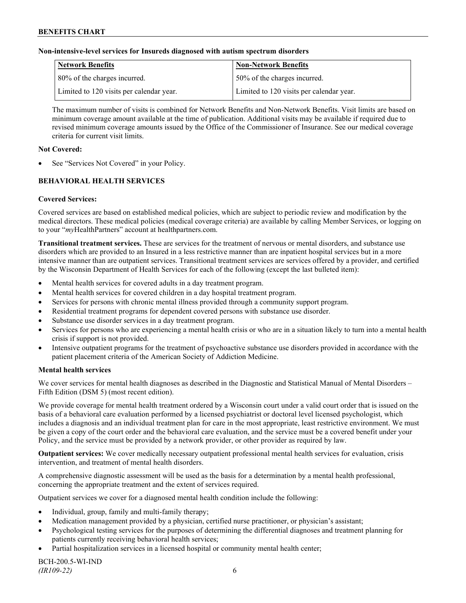#### **Non-intensive-level services for Insureds diagnosed with autism spectrum disorders**

| Network Benefits                         | <b>Non-Network Benefits</b>              |
|------------------------------------------|------------------------------------------|
| 80% of the charges incurred.             | 50% of the charges incurred.             |
| Limited to 120 visits per calendar year. | Limited to 120 visits per calendar year. |

The maximum number of visits is combined for Network Benefits and Non-Network Benefits. Visit limits are based on minimum coverage amount available at the time of publication. Additional visits may be available if required due to revised minimum coverage amounts issued by the Office of the Commissioner of Insurance. See our medical coverage criteria for current visit limits.

#### **Not Covered:**

See "Services Not Covered" in your Policy.

## **BEHAVIORAL HEALTH SERVICES**

### **Covered Services:**

Covered services are based on established medical policies, which are subject to periodic review and modification by the medical directors. These medical policies (medical coverage criteria) are available by calling Member Services, or logging on to your "*my*HealthPartners" account at [healthpartners.com.](http://www.healthpartners.com/)

**Transitional treatment services.** These are services for the treatment of nervous or mental disorders, and substance use disorders which are provided to an Insured in a less restrictive manner than are inpatient hospital services but in a more intensive manner than are outpatient services. Transitional treatment services are services offered by a provider, and certified by the Wisconsin Department of Health Services for each of the following (except the last bulleted item):

- Mental health services for covered adults in a day treatment program.
- Mental health services for covered children in a day hospital treatment program.
- Services for persons with chronic mental illness provided through a community support program.
- Residential treatment programs for dependent covered persons with substance use disorder.
- Substance use disorder services in a day treatment program.
- Services for persons who are experiencing a mental health crisis or who are in a situation likely to turn into a mental health crisis if support is not provided.
- Intensive outpatient programs for the treatment of psychoactive substance use disorders provided in accordance with the patient placement criteria of the American Society of Addiction Medicine.

### **Mental health services**

We cover services for mental health diagnoses as described in the Diagnostic and Statistical Manual of Mental Disorders – Fifth Edition (DSM 5) (most recent edition).

We provide coverage for mental health treatment ordered by a Wisconsin court under a valid court order that is issued on the basis of a behavioral care evaluation performed by a licensed psychiatrist or doctoral level licensed psychologist, which includes a diagnosis and an individual treatment plan for care in the most appropriate, least restrictive environment. We must be given a copy of the court order and the behavioral care evaluation, and the service must be a covered benefit under your Policy, and the service must be provided by a network provider, or other provider as required by law.

**Outpatient services:** We cover medically necessary outpatient professional mental health services for evaluation, crisis intervention, and treatment of mental health disorders.

A comprehensive diagnostic assessment will be used as the basis for a determination by a mental health professional, concerning the appropriate treatment and the extent of services required.

Outpatient services we cover for a diagnosed mental health condition include the following:

- Individual, group, family and multi-family therapy;
- Medication management provided by a physician, certified nurse practitioner, or physician's assistant;
- Psychological testing services for the purposes of determining the differential diagnoses and treatment planning for patients currently receiving behavioral health services;
- Partial hospitalization services in a licensed hospital or community mental health center;

BCH-200.5-WI-IND *(IR109-22)* 6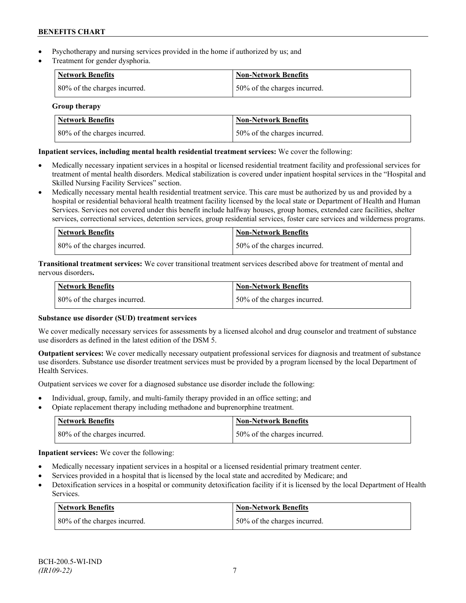- Psychotherapy and nursing services provided in the home if authorized by us; and
- Treatment for gender dysphoria.

| <b>Network Benefits</b>      | <b>Non-Network Benefits</b>  |
|------------------------------|------------------------------|
| 80% of the charges incurred. | 50% of the charges incurred. |

**Group therapy**

| Network Benefits             | <b>Non-Network Benefits</b>   |
|------------------------------|-------------------------------|
| 80% of the charges incurred. | 150% of the charges incurred. |

### **Inpatient services, including mental health residential treatment services:** We cover the following:

- Medically necessary inpatient services in a hospital or licensed residential treatment facility and professional services for treatment of mental health disorders. Medical stabilization is covered under inpatient hospital services in the "Hospital and Skilled Nursing Facility Services" section.
- Medically necessary mental health residential treatment service. This care must be authorized by us and provided by a hospital or residential behavioral health treatment facility licensed by the local state or Department of Health and Human Services. Services not covered under this benefit include halfway houses, group homes, extended care facilities, shelter services, correctional services, detention services, group residential services, foster care services and wilderness programs.

| Network Benefits             | Non-Network Benefits         |
|------------------------------|------------------------------|
| 80% of the charges incurred. | 50% of the charges incurred. |

**Transitional treatment services:** We cover transitional treatment services described above for treatment of mental and nervous disorders**.**

| <b>Network Benefits</b>      | <b>Non-Network Benefits</b>  |
|------------------------------|------------------------------|
| 80% of the charges incurred. | 50% of the charges incurred. |

### **Substance use disorder (SUD) treatment services**

We cover medically necessary services for assessments by a licensed alcohol and drug counselor and treatment of substance use disorders as defined in the latest edition of the DSM 5.

**Outpatient services:** We cover medically necessary outpatient professional services for diagnosis and treatment of substance use disorders. Substance use disorder treatment services must be provided by a program licensed by the local Department of Health Services.

Outpatient services we cover for a diagnosed substance use disorder include the following:

- Individual, group, family, and multi-family therapy provided in an office setting; and
- Opiate replacement therapy including methadone and buprenorphine treatment.

| <b>Network Benefits</b>      | <b>Non-Network Benefits</b>   |
|------------------------------|-------------------------------|
| 80% of the charges incurred. | 150% of the charges incurred. |

**Inpatient services:** We cover the following:

- Medically necessary inpatient services in a hospital or a licensed residential primary treatment center.
- Services provided in a hospital that is licensed by the local state and accredited by Medicare; and
- Detoxification services in a hospital or community detoxification facility if it is licensed by the local Department of Health Services.

| Network Benefits             | <b>Non-Network Benefits</b>  |
|------------------------------|------------------------------|
| 80% of the charges incurred. | 50% of the charges incurred. |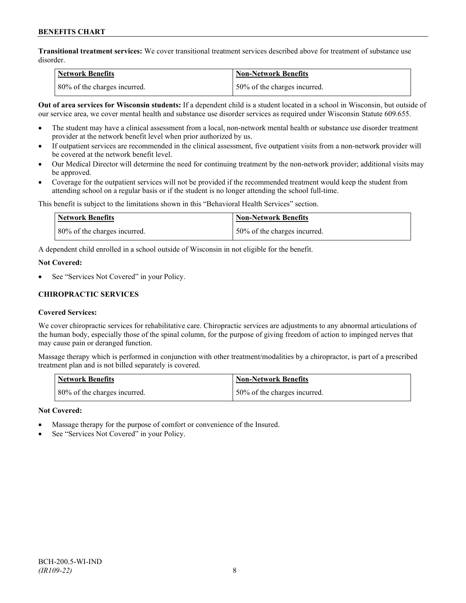**Transitional treatment services:** We cover transitional treatment services described above for treatment of substance use disorder.

| Network Benefits             | Non-Network Benefits         |
|------------------------------|------------------------------|
| 80% of the charges incurred. | 50% of the charges incurred. |

**Out of area services for Wisconsin students:** If a dependent child is a student located in a school in Wisconsin, but outside of our service area, we cover mental health and substance use disorder services as required under Wisconsin Statute 609.655.

- The student may have a clinical assessment from a local, non-network mental health or substance use disorder treatment provider at the network benefit level when prior authorized by us.
- If outpatient services are recommended in the clinical assessment, five outpatient visits from a non-network provider will be covered at the network benefit level.
- Our Medical Director will determine the need for continuing treatment by the non-network provider; additional visits may be approved.
- Coverage for the outpatient services will not be provided if the recommended treatment would keep the student from attending school on a regular basis or if the student is no longer attending the school full-time.

This benefit is subject to the limitations shown in this "Behavioral Health Services" section.

| Network Benefits             | Non-Network Benefits         |
|------------------------------|------------------------------|
| 80% of the charges incurred. | 50% of the charges incurred. |

A dependent child enrolled in a school outside of Wisconsin in not eligible for the benefit.

#### **Not Covered:**

See "Services Not Covered" in your Policy.

### **CHIROPRACTIC SERVICES**

### **Covered Services:**

We cover chiropractic services for rehabilitative care. Chiropractic services are adjustments to any abnormal articulations of the human body, especially those of the spinal column, for the purpose of giving freedom of action to impinged nerves that may cause pain or deranged function.

Massage therapy which is performed in conjunction with other treatment/modalities by a chiropractor, is part of a prescribed treatment plan and is not billed separately is covered.

| <b>Network Benefits</b>      | Non-Network Benefits         |
|------------------------------|------------------------------|
| 80% of the charges incurred. | 50% of the charges incurred. |

### **Not Covered:**

- Massage therapy for the purpose of comfort or convenience of the Insured.
- See "Services Not Covered" in your Policy.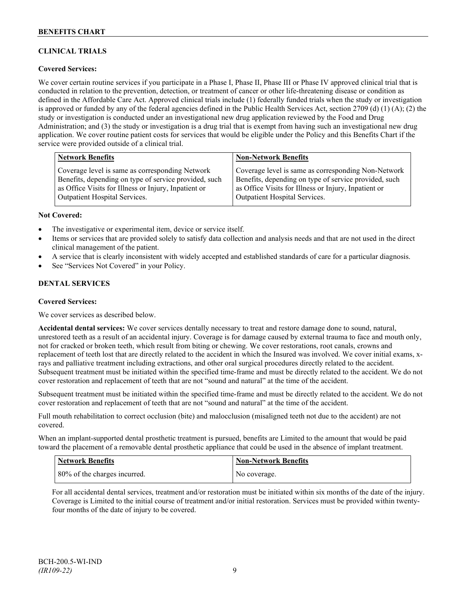## **CLINICAL TRIALS**

### **Covered Services:**

We cover certain routine services if you participate in a Phase I, Phase II, Phase III or Phase IV approved clinical trial that is conducted in relation to the prevention, detection, or treatment of cancer or other life-threatening disease or condition as defined in the Affordable Care Act. Approved clinical trials include (1) federally funded trials when the study or investigation is approved or funded by any of the federal agencies defined in the Public Health Services Act, section 2709 (d) (1) (A); (2) the study or investigation is conducted under an investigational new drug application reviewed by the Food and Drug Administration; and (3) the study or investigation is a drug trial that is exempt from having such an investigational new drug application. We cover routine patient costs for services that would be eligible under the Policy and this Benefits Chart if the service were provided outside of a clinical trial.

| <b>Network Benefits</b>                               | <b>Non-Network Benefits</b>                           |
|-------------------------------------------------------|-------------------------------------------------------|
| Coverage level is same as corresponding Network       | Coverage level is same as corresponding Non-Network   |
| Benefits, depending on type of service provided, such | Benefits, depending on type of service provided, such |
| as Office Visits for Illness or Injury, Inpatient or  | as Office Visits for Illness or Injury, Inpatient or  |
| <b>Outpatient Hospital Services.</b>                  | Outpatient Hospital Services.                         |

#### **Not Covered:**

- The investigative or experimental item, device or service itself.
- Items or services that are provided solely to satisfy data collection and analysis needs and that are not used in the direct clinical management of the patient.
- A service that is clearly inconsistent with widely accepted and established standards of care for a particular diagnosis.
- See "Services Not Covered" in your Policy.

### **DENTAL SERVICES**

#### **Covered Services:**

We cover services as described below.

**Accidental dental services:** We cover services dentally necessary to treat and restore damage done to sound, natural, unrestored teeth as a result of an accidental injury. Coverage is for damage caused by external trauma to face and mouth only, not for cracked or broken teeth, which result from biting or chewing. We cover restorations, root canals, crowns and replacement of teeth lost that are directly related to the accident in which the Insured was involved. We cover initial exams, xrays and palliative treatment including extractions, and other oral surgical procedures directly related to the accident. Subsequent treatment must be initiated within the specified time-frame and must be directly related to the accident. We do not cover restoration and replacement of teeth that are not "sound and natural" at the time of the accident.

Subsequent treatment must be initiated within the specified time-frame and must be directly related to the accident. We do not cover restoration and replacement of teeth that are not "sound and natural" at the time of the accident.

Full mouth rehabilitation to correct occlusion (bite) and malocclusion (misaligned teeth not due to the accident) are not covered.

When an implant-supported dental prosthetic treatment is pursued, benefits are Limited to the amount that would be paid toward the placement of a removable dental prosthetic appliance that could be used in the absence of implant treatment.

| Network Benefits             | <b>Non-Network Benefits</b> |
|------------------------------|-----------------------------|
| 80% of the charges incurred. | No coverage.                |

For all accidental dental services, treatment and/or restoration must be initiated within six months of the date of the injury. Coverage is Limited to the initial course of treatment and/or initial restoration. Services must be provided within twentyfour months of the date of injury to be covered.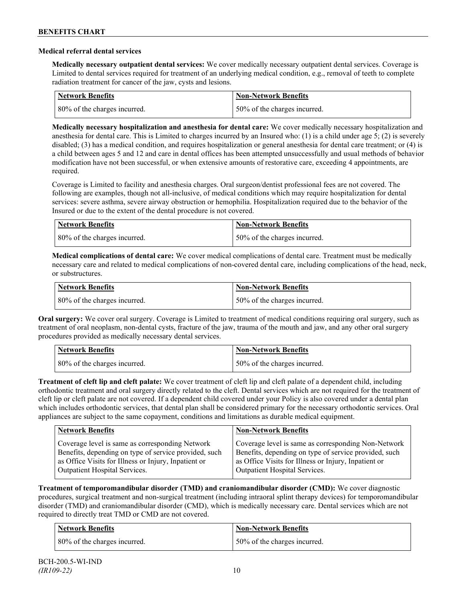#### **Medical referral dental services**

**Medically necessary outpatient dental services:** We cover medically necessary outpatient dental services. Coverage is Limited to dental services required for treatment of an underlying medical condition, e.g., removal of teeth to complete radiation treatment for cancer of the jaw, cysts and lesions.

| Network Benefits             | <b>Non-Network Benefits</b>  |
|------------------------------|------------------------------|
| 80% of the charges incurred. | 50% of the charges incurred. |

**Medically necessary hospitalization and anesthesia for dental care:** We cover medically necessary hospitalization and anesthesia for dental care. This is Limited to charges incurred by an Insured who: (1) is a child under age 5; (2) is severely disabled; (3) has a medical condition, and requires hospitalization or general anesthesia for dental care treatment; or (4) is a child between ages 5 and 12 and care in dental offices has been attempted unsuccessfully and usual methods of behavior modification have not been successful, or when extensive amounts of restorative care, exceeding 4 appointments, are required.

Coverage is Limited to facility and anesthesia charges. Oral surgeon/dentist professional fees are not covered. The following are examples, though not all-inclusive, of medical conditions which may require hospitalization for dental services: severe asthma, severe airway obstruction or hemophilia. Hospitalization required due to the behavior of the Insured or due to the extent of the dental procedure is not covered.

| Network Benefits             | <b>Non-Network Benefits</b>  |
|------------------------------|------------------------------|
| 80% of the charges incurred. | 50% of the charges incurred. |

**Medical complications of dental care:** We cover medical complications of dental care. Treatment must be medically necessary care and related to medical complications of non-covered dental care, including complications of the head, neck, or substructures.

| Network Benefits             | Non-Network Benefits         |
|------------------------------|------------------------------|
| 80% of the charges incurred. | 50% of the charges incurred. |

**Oral surgery:** We cover oral surgery. Coverage is Limited to treatment of medical conditions requiring oral surgery, such as treatment of oral neoplasm, non-dental cysts, fracture of the jaw, trauma of the mouth and jaw, and any other oral surgery procedures provided as medically necessary dental services.

| <b>Network Benefits</b>      | <b>Non-Network Benefits</b>  |
|------------------------------|------------------------------|
| 80% of the charges incurred. | 50% of the charges incurred. |

**Treatment of cleft lip and cleft palate:** We cover treatment of cleft lip and cleft palate of a dependent child, including orthodontic treatment and oral surgery directly related to the cleft. Dental services which are not required for the treatment of cleft lip or cleft palate are not covered. If a dependent child covered under your Policy is also covered under a dental plan which includes orthodontic services, that dental plan shall be considered primary for the necessary orthodontic services. Oral appliances are subject to the same copayment, conditions and limitations as durable medical equipment.

| <b>Network Benefits</b>                               | <b>Non-Network Benefits</b>                           |
|-------------------------------------------------------|-------------------------------------------------------|
| Coverage level is same as corresponding Network       | Coverage level is same as corresponding Non-Network   |
| Benefits, depending on type of service provided, such | Benefits, depending on type of service provided, such |
| as Office Visits for Illness or Injury, Inpatient or  | as Office Visits for Illness or Injury, Inpatient or  |
| Outpatient Hospital Services.                         | Outpatient Hospital Services.                         |

**Treatment of temporomandibular disorder (TMD) and craniomandibular disorder (CMD):** We cover diagnostic procedures, surgical treatment and non-surgical treatment (including intraoral splint therapy devices) for temporomandibular disorder (TMD) and craniomandibular disorder (CMD), which is medically necessary care. Dental services which are not required to directly treat TMD or CMD are not covered.

| <b>Network Benefits</b>      | <b>Non-Network Benefits</b>  |
|------------------------------|------------------------------|
| 80% of the charges incurred. | 50% of the charges incurred. |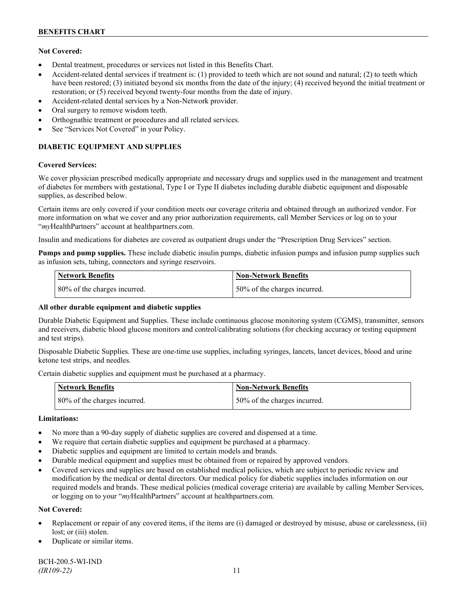### **Not Covered:**

- Dental treatment, procedures or services not listed in this Benefits Chart.
- Accident-related dental services if treatment is: (1) provided to teeth which are not sound and natural; (2) to teeth which have been restored; (3) initiated beyond six months from the date of the injury; (4) received beyond the initial treatment or restoration; or (5) received beyond twenty-four months from the date of injury.
- Accident-related dental services by a Non-Network provider.
- Oral surgery to remove wisdom teeth.
- Orthognathic treatment or procedures and all related services.
- See "Services Not Covered" in your Policy.

## **DIABETIC EQUIPMENT AND SUPPLIES**

#### **Covered Services:**

We cover physician prescribed medically appropriate and necessary drugs and supplies used in the management and treatment of diabetes for members with gestational, Type I or Type II diabetes including durable diabetic equipment and disposable supplies, as described below.

Certain items are only covered if your condition meets our coverage criteria and obtained through an authorized vendor. For more information on what we cover and any prior authorization requirements, call Member Services or log on to your "*my*HealthPartners" account at [healthpartners.com.](http://www.healthpartners.com/)

Insulin and medications for diabetes are covered as outpatient drugs under the "Prescription Drug Services" section.

**Pumps and pump supplies.** These include diabetic insulin pumps, diabetic infusion pumps and infusion pump supplies such as infusion sets, tubing, connectors and syringe reservoirs.

| <b>Network Benefits</b>      | <b>Non-Network Benefits</b>  |
|------------------------------|------------------------------|
| 80% of the charges incurred. | 50% of the charges incurred. |

### **All other durable equipment and diabetic supplies**

Durable Diabetic Equipment and Supplies. These include continuous glucose monitoring system (CGMS), transmitter, sensors and receivers, diabetic blood glucose monitors and control/calibrating solutions (for checking accuracy or testing equipment and test strips).

Disposable Diabetic Supplies. These are one-time use supplies, including syringes, lancets, lancet devices, blood and urine ketone test strips, and needles.

Certain diabetic supplies and equipment must be purchased at a pharmacy.

| <b>Network Benefits</b>      | <b>Non-Network Benefits</b>  |
|------------------------------|------------------------------|
| 80% of the charges incurred. | 50% of the charges incurred. |

### **Limitations:**

- No more than a 90-day supply of diabetic supplies are covered and dispensed at a time.
- We require that certain diabetic supplies and equipment be purchased at a pharmacy.
- Diabetic supplies and equipment are limited to certain models and brands.
- Durable medical equipment and supplies must be obtained from or repaired by approved vendors.
- Covered services and supplies are based on established medical policies, which are subject to periodic review and modification by the medical or dental directors. Our medical policy for diabetic supplies includes information on our required models and brands. These medical policies (medical coverage criteria) are available by calling Member Services, or logging on to your "*my*HealthPartners" account at healthpartners.com.

### **Not Covered:**

- Replacement or repair of any covered items, if the items are (i) damaged or destroyed by misuse, abuse or carelessness, (ii) lost; or (iii) stolen.
- Duplicate or similar items.

BCH-200.5-WI-IND *(IR109-22)* 11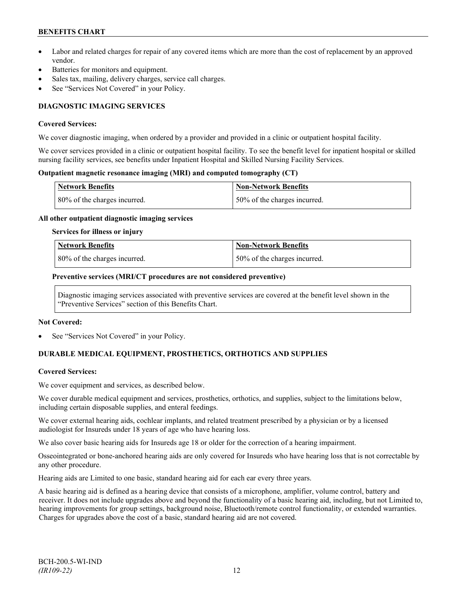## **BENEFITS CHART**

- Labor and related charges for repair of any covered items which are more than the cost of replacement by an approved vendor.
- Batteries for monitors and equipment.
- Sales tax, mailing, delivery charges, service call charges.
- See "Services Not Covered" in your Policy.

## **DIAGNOSTIC IMAGING SERVICES**

#### **Covered Services:**

We cover diagnostic imaging, when ordered by a provider and provided in a clinic or outpatient hospital facility.

We cover services provided in a clinic or outpatient hospital facility. To see the benefit level for inpatient hospital or skilled nursing facility services, see benefits under Inpatient Hospital and Skilled Nursing Facility Services.

#### **Outpatient magnetic resonance imaging (MRI) and computed tomography (CT)**

| <b>Network Benefits</b>      | Non-Network Benefits         |
|------------------------------|------------------------------|
| 80% of the charges incurred. | 50% of the charges incurred. |

#### **All other outpatient diagnostic imaging services**

#### **Services for illness or injury**

| <b>Network Benefits</b>      | Non-Network Benefits         |
|------------------------------|------------------------------|
| 80% of the charges incurred. | 50% of the charges incurred. |

#### **Preventive services (MRI/CT procedures are not considered preventive)**

Diagnostic imaging services associated with preventive services are covered at the benefit level shown in the "Preventive Services" section of this Benefits Chart.

#### **Not Covered:**

See "Services Not Covered" in your Policy.

## **DURABLE MEDICAL EQUIPMENT, PROSTHETICS, ORTHOTICS AND SUPPLIES**

### **Covered Services:**

We cover equipment and services, as described below.

We cover durable medical equipment and services, prosthetics, orthotics, and supplies, subject to the limitations below, including certain disposable supplies, and enteral feedings.

We cover external hearing aids, cochlear implants, and related treatment prescribed by a physician or by a licensed audiologist for Insureds under 18 years of age who have hearing loss.

We also cover basic hearing aids for Insureds age 18 or older for the correction of a hearing impairment.

Osseointegrated or bone-anchored hearing aids are only covered for Insureds who have hearing loss that is not correctable by any other procedure.

Hearing aids are Limited to one basic, standard hearing aid for each ear every three years.

A basic hearing aid is defined as a hearing device that consists of a microphone, amplifier, volume control, battery and receiver. It does not include upgrades above and beyond the functionality of a basic hearing aid, including, but not Limited to, hearing improvements for group settings, background noise, Bluetooth/remote control functionality, or extended warranties. Charges for upgrades above the cost of a basic, standard hearing aid are not covered.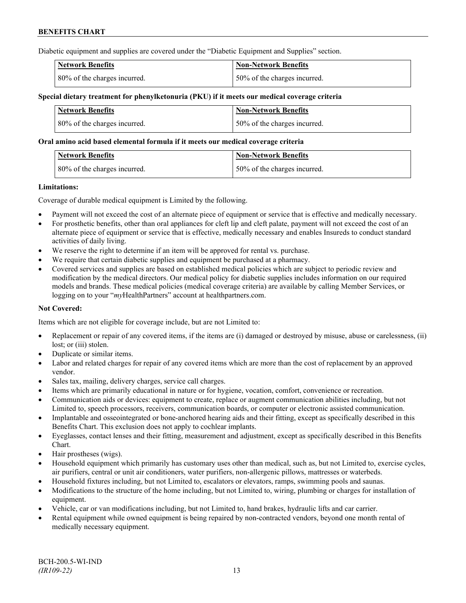Diabetic equipment and supplies are covered under the "Diabetic Equipment and Supplies" section.

| <b>Network Benefits</b>      | <b>Non-Network Benefits</b>  |
|------------------------------|------------------------------|
| 80% of the charges incurred. | 50% of the charges incurred. |

#### **Special dietary treatment for phenylketonuria (PKU) if it meets our medical coverage criteria**

| Network Benefits             | <b>Non-Network Benefits</b>  |
|------------------------------|------------------------------|
| 80% of the charges incurred. | 50% of the charges incurred. |

#### **Oral amino acid based elemental formula if it meets our medical coverage criteria**

| <b>Network Benefits</b>      | Non-Network Benefits         |
|------------------------------|------------------------------|
| 80% of the charges incurred. | 50% of the charges incurred. |

#### **Limitations:**

Coverage of durable medical equipment is Limited by the following.

- Payment will not exceed the cost of an alternate piece of equipment or service that is effective and medically necessary.
- For prosthetic benefits, other than oral appliances for cleft lip and cleft palate, payment will not exceed the cost of an alternate piece of equipment or service that is effective, medically necessary and enables Insureds to conduct standard activities of daily living.
- We reserve the right to determine if an item will be approved for rental vs. purchase.
- We require that certain diabetic supplies and equipment be purchased at a pharmacy.
- Covered services and supplies are based on established medical policies which are subject to periodic review and modification by the medical directors. Our medical policy for diabetic supplies includes information on our required models and brands. These medical policies (medical coverage criteria) are available by calling Member Services, or logging on to your "*my*HealthPartners" account at [healthpartners.com.](http://www.healthpartners.com/)

### **Not Covered:**

Items which are not eligible for coverage include, but are not Limited to:

- Replacement or repair of any covered items, if the items are (i) damaged or destroyed by misuse, abuse or carelessness, (ii) lost; or (iii) stolen.
- Duplicate or similar items.
- Labor and related charges for repair of any covered items which are more than the cost of replacement by an approved vendor.
- Sales tax, mailing, delivery charges, service call charges.
- Items which are primarily educational in nature or for hygiene, vocation, comfort, convenience or recreation.
- Communication aids or devices: equipment to create, replace or augment communication abilities including, but not Limited to, speech processors, receivers, communication boards, or computer or electronic assisted communication.
- Implantable and osseointegrated or bone-anchored hearing aids and their fitting, except as specifically described in this Benefits Chart. This exclusion does not apply to cochlear implants.
- Eyeglasses, contact lenses and their fitting, measurement and adjustment, except as specifically described in this Benefits Chart.
- Hair prostheses (wigs).
- Household equipment which primarily has customary uses other than medical, such as, but not Limited to, exercise cycles, air purifiers, central or unit air conditioners, water purifiers, non-allergenic pillows, mattresses or waterbeds.
- Household fixtures including, but not Limited to, escalators or elevators, ramps, swimming pools and saunas.
- Modifications to the structure of the home including, but not Limited to, wiring, plumbing or charges for installation of equipment.
- Vehicle, car or van modifications including, but not Limited to, hand brakes, hydraulic lifts and car carrier.
- Rental equipment while owned equipment is being repaired by non-contracted vendors, beyond one month rental of medically necessary equipment.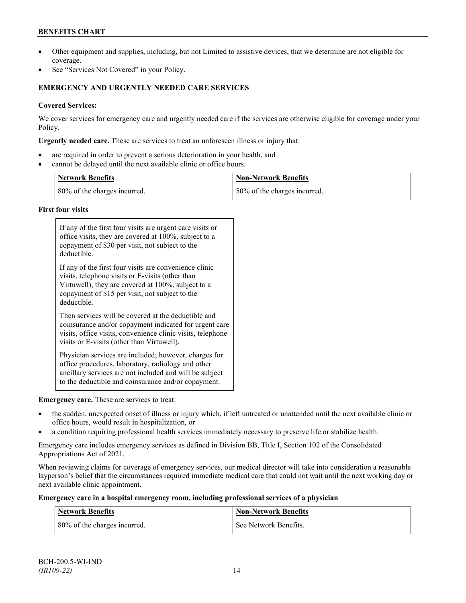## **BENEFITS CHART**

- Other equipment and supplies, including, but not Limited to assistive devices, that we determine are not eligible for coverage.
- See "Services Not Covered" in your Policy.

## **EMERGENCY AND URGENTLY NEEDED CARE SERVICES**

## **Covered Services:**

We cover services for emergency care and urgently needed care if the services are otherwise eligible for coverage under your Policy.

**Urgently needed care.** These are services to treat an unforeseen illness or injury that:

- are required in order to prevent a serious deterioration in your health, and
- cannot be delayed until the next available clinic or office hours.

| <b>Network Benefits</b>      | <b>Non-Network Benefits</b>  |
|------------------------------|------------------------------|
| 80% of the charges incurred. | 50% of the charges incurred. |

### **First four visits**

| If any of the first four visits are urgent care visits or<br>office visits, they are covered at 100%, subject to a<br>copayment of \$30 per visit, not subject to the<br>deductible.                                               |
|------------------------------------------------------------------------------------------------------------------------------------------------------------------------------------------------------------------------------------|
| If any of the first four visits are convenience clinic<br>visits, telephone visits or E-visits (other than<br>Virtuwell), they are covered at 100%, subject to a<br>copayment of \$15 per visit, not subject to the<br>deductible. |
| Then services will be covered at the deductible and<br>coinsurance and/or copayment indicated for urgent care<br>visits, office visits, convenience clinic visits, telephone<br>visits or E-visits (other than Virtuwell).         |
| Physician services are included; however, charges for<br>office procedures, laboratory, radiology and other<br>ancillary services are not included and will be subject<br>to the deductible and coinsurance and/or copayment.      |

### **Emergency care.** These are services to treat:

- the sudden, unexpected onset of illness or injury which, if left untreated or unattended until the next available clinic or office hours, would result in hospitalization, or
- a condition requiring professional health services immediately necessary to preserve life or stabilize health.

Emergency care includes emergency services as defined in Division BB, Title I, Section 102 of the Consolidated Appropriations Act of 2021.

When reviewing claims for coverage of emergency services, our medical director will take into consideration a reasonable layperson's belief that the circumstances required immediate medical care that could not wait until the next working day or next available clinic appointment.

#### **Emergency care in a hospital emergency room, including professional services of a physician**

| <b>Network Benefits</b>      | <b>Non-Network Benefits</b> |
|------------------------------|-----------------------------|
| 80% of the charges incurred. | See Network Benefits.       |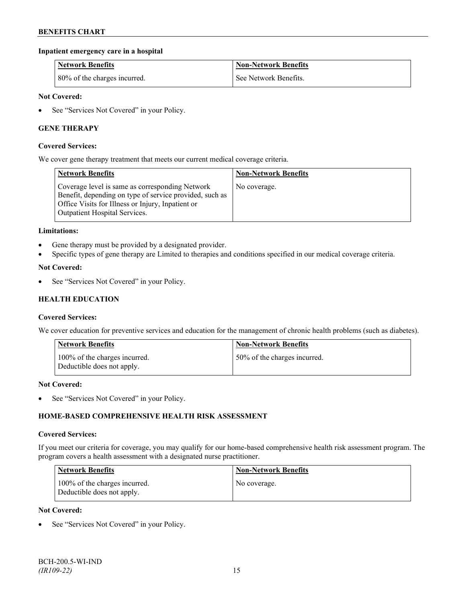### **Inpatient emergency care in a hospital**

| <b>Network Benefits</b>      | <b>Non-Network Benefits</b> |
|------------------------------|-----------------------------|
| 80% of the charges incurred. | See Network Benefits.       |

### **Not Covered:**

• See "Services Not Covered" in your Policy.

### **GENE THERAPY**

#### **Covered Services:**

We cover gene therapy treatment that meets our current medical coverage criteria.

| <b>Network Benefits</b>                                                                                                                                                                                 | <b>Non-Network Benefits</b> |
|---------------------------------------------------------------------------------------------------------------------------------------------------------------------------------------------------------|-----------------------------|
| Coverage level is same as corresponding Network<br>Benefit, depending on type of service provided, such as<br>Office Visits for Illness or Injury, Inpatient or<br><b>Outpatient Hospital Services.</b> | No coverage.                |

#### **Limitations:**

- Gene therapy must be provided by a designated provider.
- Specific types of gene therapy are Limited to therapies and conditions specified in our medical coverage criteria.

#### **Not Covered:**

See "Services Not Covered" in your Policy.

### **HEALTH EDUCATION**

#### **Covered Services:**

We cover education for preventive services and education for the management of chronic health problems (such as diabetes).

| <b>Network Benefits</b>                                     | <b>Non-Network Benefits</b>  |
|-------------------------------------------------------------|------------------------------|
| 100% of the charges incurred.<br>Deductible does not apply. | 50% of the charges incurred. |

#### **Not Covered:**

• See "Services Not Covered" in your Policy.

### **HOME-BASED COMPREHENSIVE HEALTH RISK ASSESSMENT**

#### **Covered Services:**

If you meet our criteria for coverage, you may qualify for our home-based comprehensive health risk assessment program. The program covers a health assessment with a designated nurse practitioner.

| <b>Network Benefits</b>                                     | <b>Non-Network Benefits</b> |
|-------------------------------------------------------------|-----------------------------|
| 100% of the charges incurred.<br>Deductible does not apply. | No coverage.                |

#### **Not Covered:**

See "Services Not Covered" in your Policy.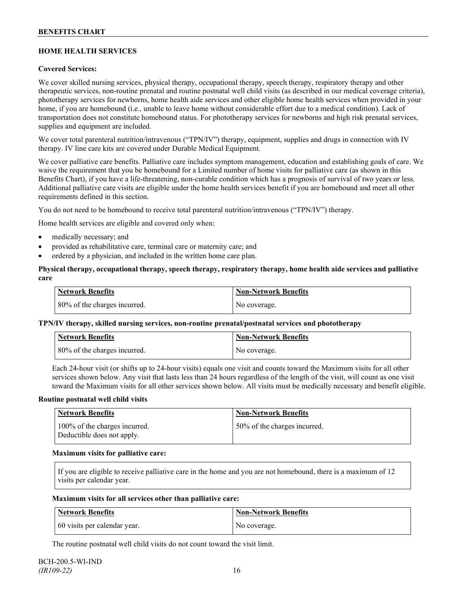## **HOME HEALTH SERVICES**

### **Covered Services:**

We cover skilled nursing services, physical therapy, occupational therapy, speech therapy, respiratory therapy and other therapeutic services, non-routine prenatal and routine postnatal well child visits (as described in our medical coverage criteria), phototherapy services for newborns, home health aide services and other eligible home health services when provided in your home, if you are homebound (i.e., unable to leave home without considerable effort due to a medical condition). Lack of transportation does not constitute homebound status. For phototherapy services for newborns and high risk prenatal services, supplies and equipment are included.

We cover total parenteral nutrition/intravenous ("TPN/IV") therapy, equipment, supplies and drugs in connection with IV therapy. IV line care kits are covered under Durable Medical Equipment.

We cover palliative care benefits. Palliative care includes symptom management, education and establishing goals of care. We waive the requirement that you be homebound for a Limited number of home visits for palliative care (as shown in this Benefits Chart), if you have a life-threatening, non-curable condition which has a prognosis of survival of two years or less. Additional palliative care visits are eligible under the home health services benefit if you are homebound and meet all other requirements defined in this section.

You do not need to be homebound to receive total parenteral nutrition/intravenous ("TPN/IV") therapy.

Home health services are eligible and covered only when:

- medically necessary; and
- provided as rehabilitative care, terminal care or maternity care; and
- ordered by a physician, and included in the written home care plan.

#### **Physical therapy, occupational therapy, speech therapy, respiratory therapy, home health aide services and palliative care**

| <b>Network Benefits</b>      | Non-Network Benefits |
|------------------------------|----------------------|
| 80% of the charges incurred. | No coverage.         |

### **TPN/IV therapy, skilled nursing services, non-routine prenatal/postnatal services and phototherapy**

| Network Benefits             | <b>Non-Network Benefits</b> |
|------------------------------|-----------------------------|
| 80% of the charges incurred. | No coverage.                |

Each 24-hour visit (or shifts up to 24-hour visits) equals one visit and counts toward the Maximum visits for all other services shown below. Any visit that lasts less than 24 hours regardless of the length of the visit, will count as one visit toward the Maximum visits for all other services shown below. All visits must be medically necessary and benefit eligible.

#### **Routine postnatal well child visits**

| Network Benefits                                            | <b>Non-Network Benefits</b>  |
|-------------------------------------------------------------|------------------------------|
| 100% of the charges incurred.<br>Deductible does not apply. | 50% of the charges incurred. |

#### **Maximum visits for palliative care:**

If you are eligible to receive palliative care in the home and you are not homebound, there is a maximum of 12 visits per calendar year.

#### **Maximum visits for all services other than palliative care:**

| Network Benefits             | Non-Network Benefits |
|------------------------------|----------------------|
| 60 visits per calendar year. | No coverage.         |

The routine postnatal well child visits do not count toward the visit limit.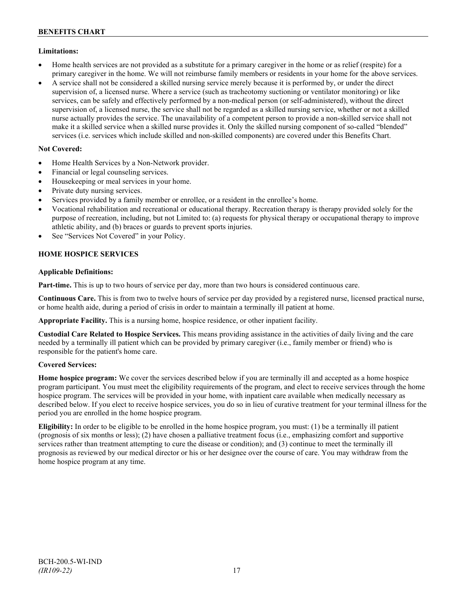### **Limitations:**

- Home health services are not provided as a substitute for a primary caregiver in the home or as relief (respite) for a primary caregiver in the home. We will not reimburse family members or residents in your home for the above services.
- A service shall not be considered a skilled nursing service merely because it is performed by, or under the direct supervision of, a licensed nurse. Where a service (such as tracheotomy suctioning or ventilator monitoring) or like services, can be safely and effectively performed by a non-medical person (or self-administered), without the direct supervision of, a licensed nurse, the service shall not be regarded as a skilled nursing service, whether or not a skilled nurse actually provides the service. The unavailability of a competent person to provide a non-skilled service shall not make it a skilled service when a skilled nurse provides it. Only the skilled nursing component of so-called "blended" services (i.e. services which include skilled and non-skilled components) are covered under this Benefits Chart.

### **Not Covered:**

- Home Health Services by a Non-Network provider.
- Financial or legal counseling services.
- Housekeeping or meal services in your home.
- Private duty nursing services.
- Services provided by a family member or enrollee, or a resident in the enrollee's home.
- Vocational rehabilitation and recreational or educational therapy. Recreation therapy is therapy provided solely for the purpose of recreation, including, but not Limited to: (a) requests for physical therapy or occupational therapy to improve athletic ability, and (b) braces or guards to prevent sports injuries.
- See "Services Not Covered" in your Policy.

## **HOME HOSPICE SERVICES**

### **Applicable Definitions:**

**Part-time.** This is up to two hours of service per day, more than two hours is considered continuous care.

**Continuous Care.** This is from two to twelve hours of service per day provided by a registered nurse, licensed practical nurse, or home health aide, during a period of crisis in order to maintain a terminally ill patient at home.

**Appropriate Facility.** This is a nursing home, hospice residence, or other inpatient facility.

**Custodial Care Related to Hospice Services.** This means providing assistance in the activities of daily living and the care needed by a terminally ill patient which can be provided by primary caregiver (i.e., family member or friend) who is responsible for the patient's home care.

### **Covered Services:**

**Home hospice program:** We cover the services described below if you are terminally ill and accepted as a home hospice program participant. You must meet the eligibility requirements of the program, and elect to receive services through the home hospice program. The services will be provided in your home, with inpatient care available when medically necessary as described below. If you elect to receive hospice services, you do so in lieu of curative treatment for your terminal illness for the period you are enrolled in the home hospice program.

**Eligibility:** In order to be eligible to be enrolled in the home hospice program, you must: (1) be a terminally ill patient (prognosis of six months or less); (2) have chosen a palliative treatment focus (i.e., emphasizing comfort and supportive services rather than treatment attempting to cure the disease or condition); and (3) continue to meet the terminally ill prognosis as reviewed by our medical director or his or her designee over the course of care. You may withdraw from the home hospice program at any time.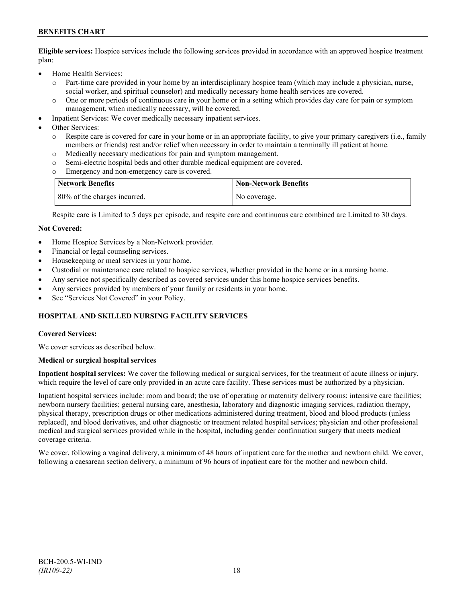## **BENEFITS CHART**

**Eligible services:** Hospice services include the following services provided in accordance with an approved hospice treatment plan:

- Home Health Services:
	- o Part-time care provided in your home by an interdisciplinary hospice team (which may include a physician, nurse, social worker, and spiritual counselor) and medically necessary home health services are covered.
	- o One or more periods of continuous care in your home or in a setting which provides day care for pain or symptom management, when medically necessary, will be covered.
- Inpatient Services: We cover medically necessary inpatient services.
- Other Services:
	- Respite care is covered for care in your home or in an appropriate facility, to give your primary caregivers (i.e., family members or friends) rest and/or relief when necessary in order to maintain a terminally ill patient at home*.*
	- o Medically necessary medications for pain and symptom management.
	- o Semi-electric hospital beds and other durable medical equipment are covered.
	- Emergency and non-emergency care is covered.

| Network Benefits             | <b>Non-Network Benefits</b> |
|------------------------------|-----------------------------|
| 80% of the charges incurred. | No coverage.                |

Respite care is Limited to 5 days per episode, and respite care and continuous care combined are Limited to 30 days.

#### **Not Covered:**

- Home Hospice Services by a Non-Network provider.
- Financial or legal counseling services.
- Housekeeping or meal services in your home.
- Custodial or maintenance care related to hospice services, whether provided in the home or in a nursing home.
- Any service not specifically described as covered services under this home hospice services benefits.
- Any services provided by members of your family or residents in your home.
- See "Services Not Covered" in your Policy.

### **HOSPITAL AND SKILLED NURSING FACILITY SERVICES**

#### **Covered Services:**

We cover services as described below.

#### **Medical or surgical hospital services**

**Inpatient hospital services:** We cover the following medical or surgical services, for the treatment of acute illness or injury, which require the level of care only provided in an acute care facility. These services must be authorized by a physician.

Inpatient hospital services include: room and board; the use of operating or maternity delivery rooms; intensive care facilities; newborn nursery facilities; general nursing care, anesthesia, laboratory and diagnostic imaging services, radiation therapy, physical therapy, prescription drugs or other medications administered during treatment, blood and blood products (unless replaced), and blood derivatives, and other diagnostic or treatment related hospital services; physician and other professional medical and surgical services provided while in the hospital, including gender confirmation surgery that meets medical coverage criteria.

We cover, following a vaginal delivery, a minimum of 48 hours of inpatient care for the mother and newborn child. We cover, following a caesarean section delivery, a minimum of 96 hours of inpatient care for the mother and newborn child.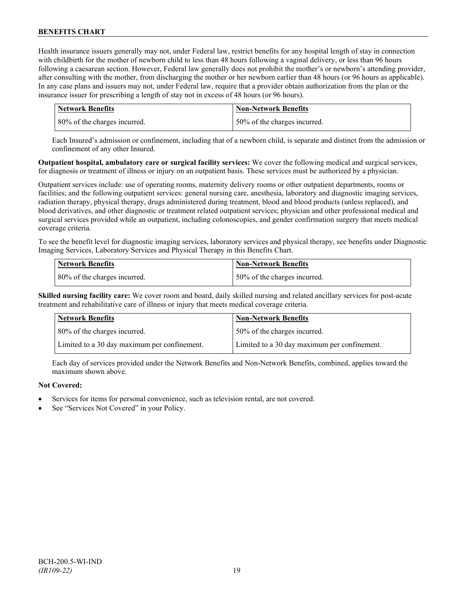Health insurance issuers generally may not, under Federal law, restrict benefits for any hospital length of stay in connection with childbirth for the mother of newborn child to less than 48 hours following a vaginal delivery, or less than 96 hours following a caesarean section. However, Federal law generally does not prohibit the mother's or newborn's attending provider, after consulting with the mother, from discharging the mother or her newborn earlier than 48 hours (or 96 hours as applicable). In any case plans and issuers may not, under Federal law, require that a provider obtain authorization from the plan or the insurance issuer for prescribing a length of stay not in excess of 48 hours (or 96 hours).

| Network Benefits             | <b>Non-Network Benefits</b>  |
|------------------------------|------------------------------|
| 80% of the charges incurred. | 50% of the charges incurred. |

Each Insured's admission or confinement, including that of a newborn child, is separate and distinct from the admission or confinement of any other Insured.

**Outpatient hospital, ambulatory care or surgical facility services:** We cover the following medical and surgical services, for diagnosis or treatment of illness or injury on an outpatient basis. These services must be authorized by a physician.

Outpatient services include: use of operating rooms, maternity delivery rooms or other outpatient departments, rooms or facilities; and the following outpatient services: general nursing care, anesthesia, laboratory and diagnostic imaging services, radiation therapy, physical therapy, drugs administered during treatment, blood and blood products (unless replaced), and blood derivatives, and other diagnostic or treatment related outpatient services; physician and other professional medical and surgical services provided while an outpatient, including colonoscopies, and gender confirmation surgery that meets medical coverage criteria.

To see the benefit level for diagnostic imaging services, laboratory services and physical therapy, see benefits under Diagnostic Imaging Services, Laboratory Services and Physical Therapy in this Benefits Chart.

| <b>Network Benefits</b>      | <b>Non-Network Benefits</b>  |
|------------------------------|------------------------------|
| 80% of the charges incurred. | 50% of the charges incurred. |

**Skilled nursing facility care:** We cover room and board, daily skilled nursing and related ancillary services for post-acute treatment and rehabilitative care of illness or injury that meets medical coverage criteria.

| <b>Network Benefits</b>                      | <b>Non-Network Benefits</b>                  |
|----------------------------------------------|----------------------------------------------|
| 80% of the charges incurred.                 | 50% of the charges incurred.                 |
| Limited to a 30 day maximum per confinement. | Limited to a 30 day maximum per confinement. |

Each day of services provided under the Network Benefits and Non-Network Benefits, combined, applies toward the maximum shown above.

## **Not Covered:**

- Services for items for personal convenience, such as television rental, are not covered.
- See "Services Not Covered" in your Policy.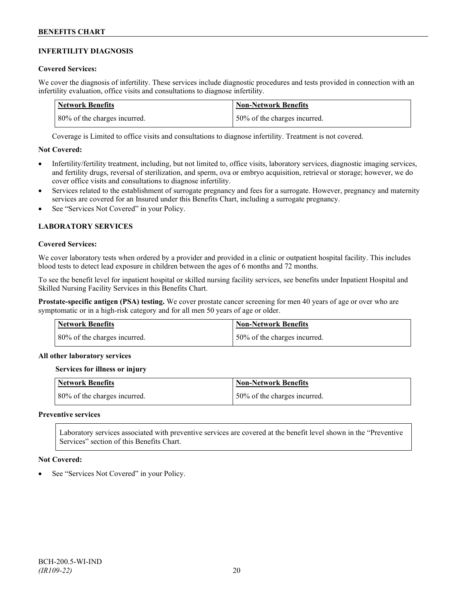### **INFERTILITY DIAGNOSIS**

### **Covered Services:**

We cover the diagnosis of infertility. These services include diagnostic procedures and tests provided in connection with an infertility evaluation, office visits and consultations to diagnose infertility.

| Network Benefits             | <b>Non-Network Benefits</b>  |
|------------------------------|------------------------------|
| 80% of the charges incurred. | 50% of the charges incurred. |

Coverage is Limited to office visits and consultations to diagnose infertility. Treatment is not covered.

### **Not Covered:**

- Infertility/fertility treatment, including, but not limited to, office visits, laboratory services, diagnostic imaging services, and fertility drugs, reversal of sterilization, and sperm, ova or embryo acquisition, retrieval or storage; however, we do cover office visits and consultations to diagnose infertility.
- Services related to the establishment of surrogate pregnancy and fees for a surrogate. However, pregnancy and maternity services are covered for an Insured under this Benefits Chart, including a surrogate pregnancy.
- See "Services Not Covered" in your Policy.

## **LABORATORY SERVICES**

#### **Covered Services:**

We cover laboratory tests when ordered by a provider and provided in a clinic or outpatient hospital facility. This includes blood tests to detect lead exposure in children between the ages of 6 months and 72 months.

To see the benefit level for inpatient hospital or skilled nursing facility services, see benefits under Inpatient Hospital and Skilled Nursing Facility Services in this Benefits Chart.

**Prostate-specific antigen (PSA) testing.** We cover prostate cancer screening for men 40 years of age or over who are symptomatic or in a high-risk category and for all men 50 years of age or older.

| <b>Network Benefits</b>      | <b>Non-Network Benefits</b>  |
|------------------------------|------------------------------|
| 80% of the charges incurred. | 50% of the charges incurred. |

#### **All other laboratory services**

#### **Services for illness or injury**

| <b>Network Benefits</b>      | <b>Non-Network Benefits</b>  |
|------------------------------|------------------------------|
| 80% of the charges incurred. | 50% of the charges incurred. |

#### **Preventive services**

Laboratory services associated with preventive services are covered at the benefit level shown in the "Preventive Services" section of this Benefits Chart.

#### **Not Covered:**

See "Services Not Covered" in your Policy.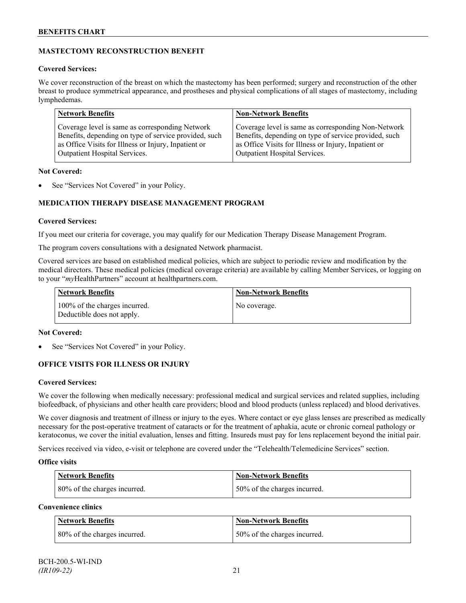## **MASTECTOMY RECONSTRUCTION BENEFIT**

### **Covered Services:**

We cover reconstruction of the breast on which the mastectomy has been performed; surgery and reconstruction of the other breast to produce symmetrical appearance, and prostheses and physical complications of all stages of mastectomy, including lymphedemas.

| <b>Network Benefits</b>                               | <b>Non-Network Benefits</b>                           |
|-------------------------------------------------------|-------------------------------------------------------|
| Coverage level is same as corresponding Network       | Coverage level is same as corresponding Non-Network   |
| Benefits, depending on type of service provided, such | Benefits, depending on type of service provided, such |
| as Office Visits for Illness or Injury, Inpatient or  | as Office Visits for Illness or Injury, Inpatient or  |
| Outpatient Hospital Services.                         | Outpatient Hospital Services.                         |

### **Not Covered:**

See "Services Not Covered" in your Policy.

## **MEDICATION THERAPY DISEASE MANAGEMENT PROGRAM**

### **Covered Services:**

If you meet our criteria for coverage, you may qualify for our Medication Therapy Disease Management Program.

The program covers consultations with a designated Network pharmacist.

Covered services are based on established medical policies, which are subject to periodic review and modification by the medical directors. These medical policies (medical coverage criteria) are available by calling Member Services, or logging on to your "*my*HealthPartners" account at [healthpartners.com.](http://www.healthpartners.com/)

| <b>Network Benefits</b>                                     | <b>Non-Network Benefits</b> |
|-------------------------------------------------------------|-----------------------------|
| 100% of the charges incurred.<br>Deductible does not apply. | No coverage.                |

### **Not Covered:**

See "Services Not Covered" in your Policy.

## **OFFICE VISITS FOR ILLNESS OR INJURY**

### **Covered Services:**

We cover the following when medically necessary: professional medical and surgical services and related supplies, including biofeedback, of physicians and other health care providers; blood and blood products (unless replaced) and blood derivatives.

We cover diagnosis and treatment of illness or injury to the eyes. Where contact or eye glass lenses are prescribed as medically necessary for the post-operative treatment of cataracts or for the treatment of aphakia, acute or chronic corneal pathology or keratoconus, we cover the initial evaluation, lenses and fitting. Insureds must pay for lens replacement beyond the initial pair.

Services received via video, e-visit or telephone are covered under the "Telehealth/Telemedicine Services" section.

### **Office visits**

| <b>Network Benefits</b>      | <b>Non-Network Benefits</b>  |
|------------------------------|------------------------------|
| 80% of the charges incurred. | 50% of the charges incurred. |

## **Convenience clinics**

| <b>Network Benefits</b>      | <b>Non-Network Benefits</b>  |
|------------------------------|------------------------------|
| 80% of the charges incurred. | 50% of the charges incurred. |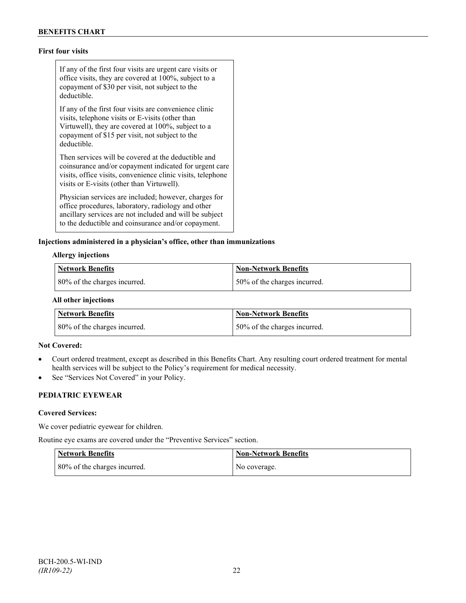## **First four visits**

If any of the first four visits are urgent care visits or office visits, they are covered at 100%, subject to a copayment of \$30 per visit, not subject to the deductible.

If any of the first four visits are convenience clinic visits, telephone visits or E-visits (other than Virtuwell), they are covered at 100%, subject to a copayment of \$15 per visit, not subject to the deductible.

Then services will be covered at the deductible and coinsurance and/or copayment indicated for urgent care visits, office visits, convenience clinic visits, telephone visits or E-visits (other than Virtuwell).

Physician services are included; however, charges for office procedures, laboratory, radiology and other ancillary services are not included and will be subject to the deductible and coinsurance and/or copayment.

#### **Injections administered in a physician's office, other than immunizations**

#### **Allergy injections**

| Network Benefits             | Non-Network Benefits         |
|------------------------------|------------------------------|
| 80% of the charges incurred. | 50% of the charges incurred. |

#### **All other injections**

| <b>Network Benefits</b>      | <b>Non-Network Benefits</b>  |
|------------------------------|------------------------------|
| 80% of the charges incurred. | 50% of the charges incurred. |

#### **Not Covered:**

- Court ordered treatment, except as described in this Benefits Chart. Any resulting court ordered treatment for mental health services will be subject to the Policy's requirement for medical necessity.
- See "Services Not Covered" in your Policy.

## **PEDIATRIC EYEWEAR**

#### **Covered Services:**

We cover pediatric eyewear for children.

Routine eye exams are covered under the "Preventive Services" section.

| <b>Network Benefits</b>      | <b>Non-Network Benefits</b> |
|------------------------------|-----------------------------|
| 80% of the charges incurred. | No coverage.                |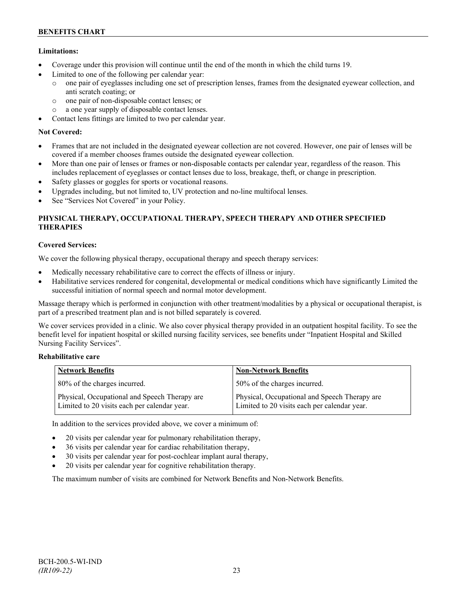## **Limitations:**

- Coverage under this provision will continue until the end of the month in which the child turns 19.
- Limited to one of the following per calendar year:
	- o one pair of eyeglasses including one set of prescription lenses, frames from the designated eyewear collection, and anti scratch coating; or
	- o one pair of non-disposable contact lenses; or
	- o a one year supply of disposable contact lenses.
- Contact lens fittings are limited to two per calendar year.

## **Not Covered:**

- Frames that are not included in the designated eyewear collection are not covered. However, one pair of lenses will be covered if a member chooses frames outside the designated eyewear collection.
- More than one pair of lenses or frames or non-disposable contacts per calendar year, regardless of the reason. This includes replacement of eyeglasses or contact lenses due to loss, breakage, theft, or change in prescription.
- Safety glasses or goggles for sports or vocational reasons.
- Upgrades including, but not limited to, UV protection and no-line multifocal lenses.
- See "Services Not Covered" in your Policy.

## **PHYSICAL THERAPY, OCCUPATIONAL THERAPY, SPEECH THERAPY AND OTHER SPECIFIED THERAPIES**

## **Covered Services:**

We cover the following physical therapy, occupational therapy and speech therapy services:

- Medically necessary rehabilitative care to correct the effects of illness or injury.
- Habilitative services rendered for congenital, developmental or medical conditions which have significantly Limited the successful initiation of normal speech and normal motor development.

Massage therapy which is performed in conjunction with other treatment/modalities by a physical or occupational therapist, is part of a prescribed treatment plan and is not billed separately is covered.

We cover services provided in a clinic. We also cover physical therapy provided in an outpatient hospital facility. To see the benefit level for inpatient hospital or skilled nursing facility services, see benefits under "Inpatient Hospital and Skilled Nursing Facility Services".

### **Rehabilitative care**

| <b>Network Benefits</b>                                                                       | <b>Non-Network Benefits</b>                                                                   |
|-----------------------------------------------------------------------------------------------|-----------------------------------------------------------------------------------------------|
| 80% of the charges incurred.                                                                  | 50% of the charges incurred.                                                                  |
| Physical, Occupational and Speech Therapy are<br>Limited to 20 visits each per calendar year. | Physical, Occupational and Speech Therapy are<br>Limited to 20 visits each per calendar year. |

In addition to the services provided above, we cover a minimum of:

- 20 visits per calendar year for pulmonary rehabilitation therapy,
- 36 visits per calendar year for cardiac rehabilitation therapy,
- 30 visits per calendar year for post-cochlear implant aural therapy,
- 20 visits per calendar year for cognitive rehabilitation therapy.

The maximum number of visits are combined for Network Benefits and Non-Network Benefits.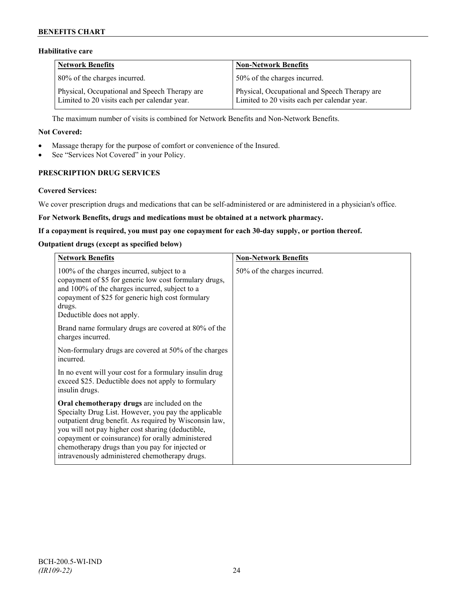## **BENEFITS CHART**

## **Habilitative care**

| <b>Network Benefits</b>                                                                       | <b>Non-Network Benefits</b>                                                                   |
|-----------------------------------------------------------------------------------------------|-----------------------------------------------------------------------------------------------|
| 80% of the charges incurred.                                                                  | 50% of the charges incurred.                                                                  |
| Physical, Occupational and Speech Therapy are<br>Limited to 20 visits each per calendar year. | Physical, Occupational and Speech Therapy are<br>Limited to 20 visits each per calendar year. |

The maximum number of visits is combined for Network Benefits and Non-Network Benefits.

#### **Not Covered:**

- Massage therapy for the purpose of comfort or convenience of the Insured.
- See "Services Not Covered" in your Policy.

## **PRESCRIPTION DRUG SERVICES**

#### **Covered Services:**

We cover prescription drugs and medications that can be self-administered or are administered in a physician's office.

#### **For Network Benefits, drugs and medications must be obtained at a network pharmacy.**

#### **If a copayment is required, you must pay one copayment for each 30-day supply, or portion thereof.**

#### **Outpatient drugs (except as specified below)**

| <b>Network Benefits</b>                                                                                                                                                                                                                                                                                                                                                      | <b>Non-Network Benefits</b>  |
|------------------------------------------------------------------------------------------------------------------------------------------------------------------------------------------------------------------------------------------------------------------------------------------------------------------------------------------------------------------------------|------------------------------|
| 100% of the charges incurred, subject to a<br>copayment of \$5 for generic low cost formulary drugs,<br>and 100% of the charges incurred, subject to a<br>copayment of \$25 for generic high cost formulary<br>drugs.<br>Deductible does not apply.                                                                                                                          | 50% of the charges incurred. |
| Brand name formulary drugs are covered at 80% of the<br>charges incurred.                                                                                                                                                                                                                                                                                                    |                              |
| Non-formulary drugs are covered at 50% of the charges<br>incurred.                                                                                                                                                                                                                                                                                                           |                              |
| In no event will your cost for a formulary insulin drug<br>exceed \$25. Deductible does not apply to formulary<br>insulin drugs.                                                                                                                                                                                                                                             |                              |
| Oral chemotherapy drugs are included on the<br>Specialty Drug List. However, you pay the applicable<br>outpatient drug benefit. As required by Wisconsin law,<br>you will not pay higher cost sharing (deductible,<br>copayment or coinsurance) for orally administered<br>chemotherapy drugs than you pay for injected or<br>intravenously administered chemotherapy drugs. |                              |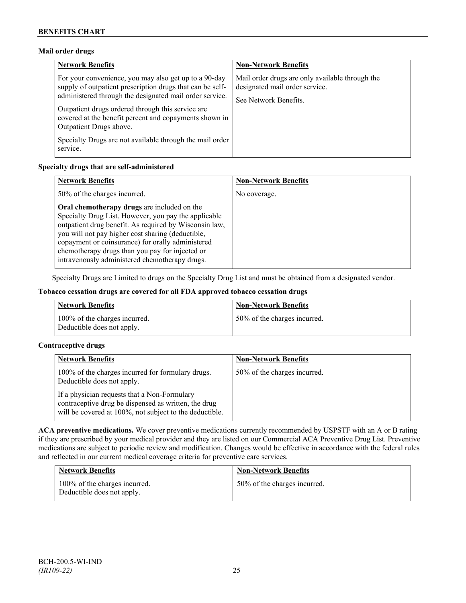### **Mail order drugs**

| <b>Network Benefits</b>                                                                                                                                                                                                                                                                                                 | <b>Non-Network Benefits</b>                                                                                |
|-------------------------------------------------------------------------------------------------------------------------------------------------------------------------------------------------------------------------------------------------------------------------------------------------------------------------|------------------------------------------------------------------------------------------------------------|
| For your convenience, you may also get up to a 90-day<br>supply of outpatient prescription drugs that can be self-<br>administered through the designated mail order service.<br>Outpatient drugs ordered through this service are<br>covered at the benefit percent and copayments shown in<br>Outpatient Drugs above. | Mail order drugs are only available through the<br>designated mail order service.<br>See Network Benefits. |
| Specialty Drugs are not available through the mail order<br>service.                                                                                                                                                                                                                                                    |                                                                                                            |

### **Specialty drugs that are self-administered**

| <b>Network Benefits</b>                                                                                                                                                                                                                                                                                                                                                      | <b>Non-Network Benefits</b> |
|------------------------------------------------------------------------------------------------------------------------------------------------------------------------------------------------------------------------------------------------------------------------------------------------------------------------------------------------------------------------------|-----------------------------|
| 50% of the charges incurred.                                                                                                                                                                                                                                                                                                                                                 | No coverage.                |
| Oral chemotherapy drugs are included on the<br>Specialty Drug List. However, you pay the applicable<br>outpatient drug benefit. As required by Wisconsin law,<br>you will not pay higher cost sharing (deductible,<br>copayment or coinsurance) for orally administered<br>chemotherapy drugs than you pay for injected or<br>intravenously administered chemotherapy drugs. |                             |

Specialty Drugs are Limited to drugs on the Specialty Drug List and must be obtained from a designated vendor.

### **Tobacco cessation drugs are covered for all FDA approved tobacco cessation drugs**

| <b>Network Benefits</b>                                     | <b>Non-Network Benefits</b>  |
|-------------------------------------------------------------|------------------------------|
| 100% of the charges incurred.<br>Deductible does not apply. | 50% of the charges incurred. |

### **Contraceptive drugs**

| <b>Network Benefits</b>                                                                                                                                         | <b>Non-Network Benefits</b>  |
|-----------------------------------------------------------------------------------------------------------------------------------------------------------------|------------------------------|
| 100% of the charges incurred for formulary drugs.<br>Deductible does not apply.                                                                                 | 50% of the charges incurred. |
| If a physician requests that a Non-Formulary<br>contraceptive drug be dispensed as written, the drug<br>will be covered at 100%, not subject to the deductible. |                              |

**ACA preventive medications.** We cover preventive medications currently recommended by USPSTF with an A or B rating if they are prescribed by your medical provider and they are listed on our Commercial ACA Preventive Drug List. Preventive medications are subject to periodic review and modification. Changes would be effective in accordance with the federal rules and reflected in our current medical coverage criteria for preventive care services.

| <b>Network Benefits</b>                                     | <b>Non-Network Benefits</b>  |
|-------------------------------------------------------------|------------------------------|
| 100% of the charges incurred.<br>Deductible does not apply. | 50% of the charges incurred. |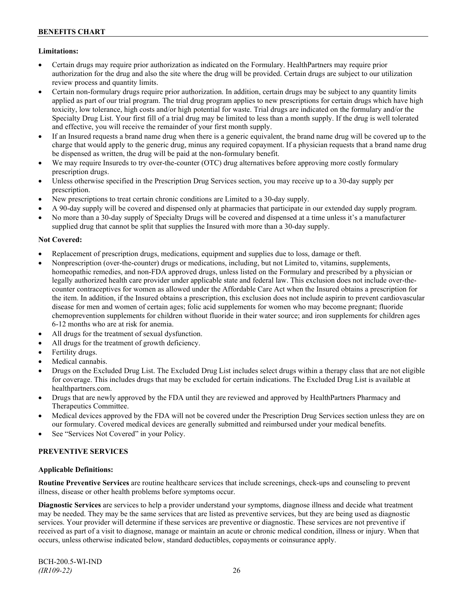## **Limitations:**

- Certain drugs may require prior authorization as indicated on the Formulary. HealthPartners may require prior authorization for the drug and also the site where the drug will be provided. Certain drugs are subject to our utilization review process and quantity limits.
- Certain non-formulary drugs require prior authorization. In addition, certain drugs may be subject to any quantity limits applied as part of our trial program. The trial drug program applies to new prescriptions for certain drugs which have high toxicity, low tolerance, high costs and/or high potential for waste. Trial drugs are indicated on the formulary and/or the Specialty Drug List. Your first fill of a trial drug may be limited to less than a month supply. If the drug is well tolerated and effective, you will receive the remainder of your first month supply.
- If an Insured requests a brand name drug when there is a generic equivalent, the brand name drug will be covered up to the charge that would apply to the generic drug, minus any required copayment. If a physician requests that a brand name drug be dispensed as written, the drug will be paid at the non-formulary benefit.
- We may require Insureds to try over-the-counter (OTC) drug alternatives before approving more costly formulary prescription drugs.
- Unless otherwise specified in the Prescription Drug Services section, you may receive up to a 30-day supply per prescription.
- New prescriptions to treat certain chronic conditions are Limited to a 30-day supply.
- A 90-day supply will be covered and dispensed only at pharmacies that participate in our extended day supply program.
- No more than a 30-day supply of Specialty Drugs will be covered and dispensed at a time unless it's a manufacturer supplied drug that cannot be split that supplies the Insured with more than a 30-day supply.

### **Not Covered:**

- Replacement of prescription drugs, medications, equipment and supplies due to loss, damage or theft.
- Nonprescription (over-the-counter) drugs or medications, including, but not Limited to, vitamins, supplements, homeopathic remedies, and non-FDA approved drugs, unless listed on the Formulary and prescribed by a physician or legally authorized health care provider under applicable state and federal law. This exclusion does not include over-thecounter contraceptives for women as allowed under the Affordable Care Act when the Insured obtains a prescription for the item. In addition, if the Insured obtains a prescription, this exclusion does not include aspirin to prevent cardiovascular disease for men and women of certain ages; folic acid supplements for women who may become pregnant; fluoride chemoprevention supplements for children without fluoride in their water source; and iron supplements for children ages 6-12 months who are at risk for anemia.
- All drugs for the treatment of sexual dysfunction.
- All drugs for the treatment of growth deficiency.
- Fertility drugs.
- Medical cannabis.
- Drugs on the Excluded Drug List. The Excluded Drug List includes select drugs within a therapy class that are not eligible for coverage. This includes drugs that may be excluded for certain indications. The Excluded Drug List is available at [healthpartners.com.](http://www.healthpartners.com/)
- Drugs that are newly approved by the FDA until they are reviewed and approved by HealthPartners Pharmacy and Therapeutics Committee.
- Medical devices approved by the FDA will not be covered under the Prescription Drug Services section unless they are on our formulary. Covered medical devices are generally submitted and reimbursed under your medical benefits.
- See "Services Not Covered" in your Policy.

### **PREVENTIVE SERVICES**

### **Applicable Definitions:**

**Routine Preventive Services** are routine healthcare services that include screenings, check-ups and counseling to prevent illness, disease or other health problems before symptoms occur.

**Diagnostic Services** are services to help a provider understand your symptoms, diagnose illness and decide what treatment may be needed. They may be the same services that are listed as preventive services, but they are being used as diagnostic services. Your provider will determine if these services are preventive or diagnostic. These services are not preventive if received as part of a visit to diagnose, manage or maintain an acute or chronic medical condition, illness or injury. When that occurs, unless otherwise indicated below, standard deductibles, copayments or coinsurance apply.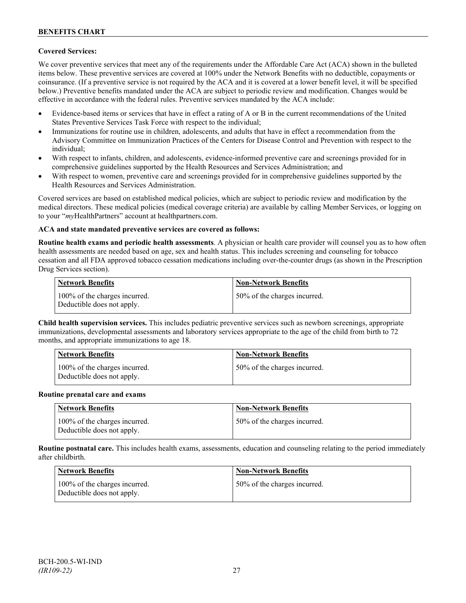### **Covered Services:**

We cover preventive services that meet any of the requirements under the Affordable Care Act (ACA) shown in the bulleted items below. These preventive services are covered at 100% under the Network Benefits with no deductible, copayments or coinsurance. (If a preventive service is not required by the ACA and it is covered at a lower benefit level, it will be specified below.) Preventive benefits mandated under the ACA are subject to periodic review and modification. Changes would be effective in accordance with the federal rules. Preventive services mandated by the ACA include:

- Evidence-based items or services that have in effect a rating of A or B in the current recommendations of the United States Preventive Services Task Force with respect to the individual;
- Immunizations for routine use in children, adolescents, and adults that have in effect a recommendation from the Advisory Committee on Immunization Practices of the Centers for Disease Control and Prevention with respect to the individual;
- With respect to infants, children, and adolescents, evidence-informed preventive care and screenings provided for in comprehensive guidelines supported by the Health Resources and Services Administration; and
- With respect to women, preventive care and screenings provided for in comprehensive guidelines supported by the Health Resources and Services Administration.

Covered services are based on established medical policies, which are subject to periodic review and modification by the medical directors. These medical policies (medical coverage criteria) are available by calling Member Services, or logging on to your "*my*HealthPartners" account at [healthpartners.com.](http://www.healthpartners.com/)

### **ACA and state mandated preventive services are covered as follows:**

**Routine health exams and periodic health assessments**. A physician or health care provider will counsel you as to how often health assessments are needed based on age, sex and health status. This includes screening and counseling for tobacco cessation and all FDA approved tobacco cessation medications including over-the-counter drugs (as shown in the Prescription Drug Services section).

| <b>Network Benefits</b>                                     | <b>Non-Network Benefits</b>  |
|-------------------------------------------------------------|------------------------------|
| 100% of the charges incurred.<br>Deductible does not apply. | 50% of the charges incurred. |

**Child health supervision services.** This includes pediatric preventive services such as newborn screenings, appropriate immunizations, developmental assessments and laboratory services appropriate to the age of the child from birth to 72 months, and appropriate immunizations to age 18.

| <b>Network Benefits</b>                                     | <b>Non-Network Benefits</b>  |
|-------------------------------------------------------------|------------------------------|
| 100% of the charges incurred.<br>Deductible does not apply. | 50% of the charges incurred. |

#### **Routine prenatal care and exams**

| Network Benefits                                            | <b>Non-Network Benefits</b>  |
|-------------------------------------------------------------|------------------------------|
| 100% of the charges incurred.<br>Deductible does not apply. | 50% of the charges incurred. |

**Routine postnatal care.** This includes health exams, assessments, education and counseling relating to the period immediately after childbirth.

| <b>Network Benefits</b>                                     | <b>Non-Network Benefits</b>  |
|-------------------------------------------------------------|------------------------------|
| 100% of the charges incurred.<br>Deductible does not apply. | 50% of the charges incurred. |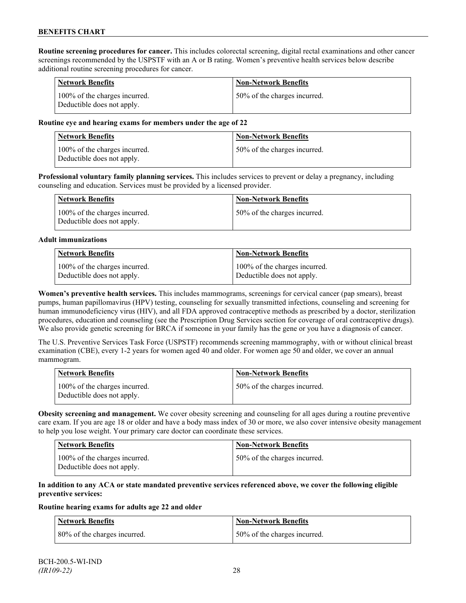**Routine screening procedures for cancer.** This includes colorectal screening, digital rectal examinations and other cancer screenings recommended by the USPSTF with an A or B rating. Women's preventive health services below describe additional routine screening procedures for cancer.

| <b>Network Benefits</b>                                     | <b>Non-Network Benefits</b>  |
|-------------------------------------------------------------|------------------------------|
| 100% of the charges incurred.<br>Deductible does not apply. | 50% of the charges incurred. |

#### **Routine eye and hearing exams for members under the age of 22**

| <b>Network Benefits</b>                                     | <b>Non-Network Benefits</b>  |
|-------------------------------------------------------------|------------------------------|
| 100% of the charges incurred.<br>Deductible does not apply. | 50% of the charges incurred. |

**Professional voluntary family planning services.** This includes services to prevent or delay a pregnancy, including counseling and education. Services must be provided by a licensed provider.

| Network Benefits                                            | <b>Non-Network Benefits</b>  |
|-------------------------------------------------------------|------------------------------|
| 100% of the charges incurred.<br>Deductible does not apply. | 50% of the charges incurred. |

#### **Adult immunizations**

| <b>Network Benefits</b>       | <b>Non-Network Benefits</b>   |
|-------------------------------|-------------------------------|
| 100% of the charges incurred. | 100% of the charges incurred. |
| Deductible does not apply.    | Deductible does not apply.    |

**Women's preventive health services.** This includes mammograms, screenings for cervical cancer (pap smears), breast pumps, human papillomavirus (HPV) testing, counseling for sexually transmitted infections, counseling and screening for human immunodeficiency virus (HIV), and all FDA approved contraceptive methods as prescribed by a doctor, sterilization procedures, education and counseling (see the Prescription Drug Services section for coverage of oral contraceptive drugs). We also provide genetic screening for BRCA if someone in your family has the gene or you have a diagnosis of cancer.

The U.S. Preventive Services Task Force (USPSTF) recommends screening mammography, with or without clinical breast examination (CBE), every 1-2 years for women aged 40 and older. For women age 50 and older, we cover an annual mammogram.

| Network Benefits                                            | <b>Non-Network Benefits</b>  |
|-------------------------------------------------------------|------------------------------|
| 100% of the charges incurred.<br>Deductible does not apply. | 50% of the charges incurred. |

**Obesity screening and management.** We cover obesity screening and counseling for all ages during a routine preventive care exam. If you are age 18 or older and have a body mass index of 30 or more, we also cover intensive obesity management to help you lose weight. Your primary care doctor can coordinate these services.

| <b>Network Benefits</b>                                     | <b>Non-Network Benefits</b>  |
|-------------------------------------------------------------|------------------------------|
| 100% of the charges incurred.<br>Deductible does not apply. | 50% of the charges incurred. |

#### **In addition to any ACA or state mandated preventive services referenced above, we cover the following eligible preventive services:**

#### **Routine hearing exams for adults age 22 and older**

| <b>Network Benefits</b>       | <b>Non-Network Benefits</b>  |
|-------------------------------|------------------------------|
| 180% of the charges incurred. | 50% of the charges incurred. |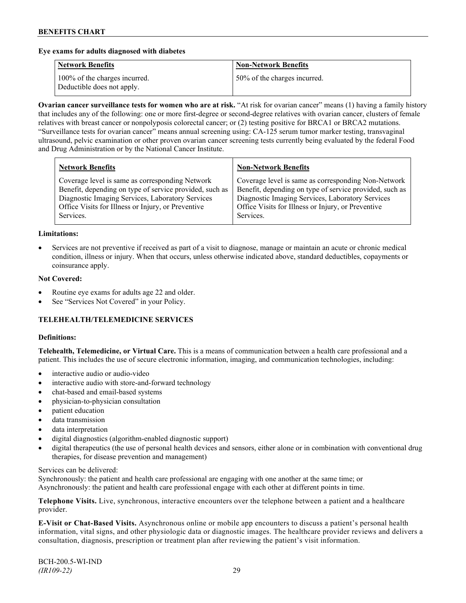#### **Eye exams for adults diagnosed with diabetes**

| <b>Network Benefits</b>                                     | <b>Non-Network Benefits</b>  |
|-------------------------------------------------------------|------------------------------|
| 100% of the charges incurred.<br>Deductible does not apply. | 50% of the charges incurred. |

**Ovarian cancer surveillance tests for women who are at risk.** "At risk for ovarian cancer" means (1) having a family history that includes any of the following: one or more first-degree or second-degree relatives with ovarian cancer, clusters of female relatives with breast cancer or nonpolyposis colorectal cancer; or (2) testing positive for BRCA1 or BRCA2 mutations. "Surveillance tests for ovarian cancer" means annual screening using: CA-125 serum tumor marker testing, transvaginal ultrasound, pelvic examination or other proven ovarian cancer screening tests currently being evaluated by the federal Food and Drug Administration or by the National Cancer Institute.

| <b>Network Benefits</b>                                 | <b>Non-Network Benefits</b>                             |
|---------------------------------------------------------|---------------------------------------------------------|
| Coverage level is same as corresponding Network         | Coverage level is same as corresponding Non-Network     |
| Benefit, depending on type of service provided, such as | Benefit, depending on type of service provided, such as |
| Diagnostic Imaging Services, Laboratory Services        | Diagnostic Imaging Services, Laboratory Services        |
| Office Visits for Illness or Injury, or Preventive      | Office Visits for Illness or Injury, or Preventive      |
| Services.                                               | Services.                                               |

#### **Limitations:**

• Services are not preventive if received as part of a visit to diagnose, manage or maintain an acute or chronic medical condition, illness or injury. When that occurs, unless otherwise indicated above, standard deductibles, copayments or coinsurance apply.

#### **Not Covered:**

- Routine eye exams for adults age 22 and older.
- See "Services Not Covered" in your Policy.

### **TELEHEALTH/TELEMEDICINE SERVICES**

#### **Definitions:**

**Telehealth, Telemedicine, or Virtual Care.** This is a means of communication between a health care professional and a patient. This includes the use of secure electronic information, imaging, and communication technologies, including:

- interactive audio or audio-video
- interactive audio with store-and-forward technology
- chat-based and email-based systems
- physician-to-physician consultation
- patient education
- data transmission
- data interpretation
- digital diagnostics (algorithm-enabled diagnostic support)
- digital therapeutics (the use of personal health devices and sensors, either alone or in combination with conventional drug therapies, for disease prevention and management)

#### Services can be delivered:

Synchronously: the patient and health care professional are engaging with one another at the same time; or Asynchronously: the patient and health care professional engage with each other at different points in time.

**Telephone Visits.** Live, synchronous, interactive encounters over the telephone between a patient and a healthcare provider.

**E-Visit or Chat-Based Visits.** Asynchronous online or mobile app encounters to discuss a patient's personal health information, vital signs, and other physiologic data or diagnostic images. The healthcare provider reviews and delivers a consultation, diagnosis, prescription or treatment plan after reviewing the patient's visit information.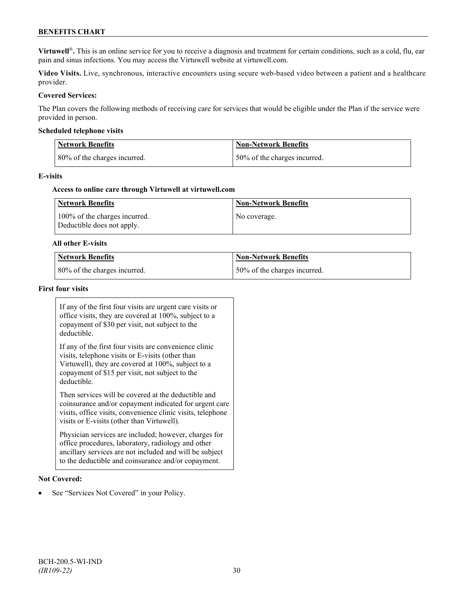## **BENEFITS CHART**

**Virtuwell<sup>®</sup>**. This is an online service for you to receive a diagnosis and treatment for certain conditions, such as a cold, flu, ear pain and sinus infections. You may access the Virtuwell website at [virtuwell.com.](https://www.virtuwell.com/)

**Video Visits.** Live, synchronous, interactive encounters using secure web-based video between a patient and a healthcare provider.

#### **Covered Services:**

The Plan covers the following methods of receiving care for services that would be eligible under the Plan if the service were provided in person.

#### **Scheduled telephone visits**

| Network Benefits             | Non-Network Benefits          |
|------------------------------|-------------------------------|
| 80% of the charges incurred. | 150% of the charges incurred. |

#### **E-visits**

#### **Access to online care through Virtuwell at [virtuwell.com](http://www.virtuwell.com/)**

| Network Benefits                                            | <b>Non-Network Benefits</b> |
|-------------------------------------------------------------|-----------------------------|
| 100% of the charges incurred.<br>Deductible does not apply. | No coverage.                |

#### **All other E-visits**

| Network Benefits             | <b>Non-Network Benefits</b>  |
|------------------------------|------------------------------|
| 80% of the charges incurred. | 50% of the charges incurred. |

#### **First four visits**

If any of the first four visits are urgent care visits or office visits, they are covered at 100%, subject to a copayment of \$30 per visit, not subject to the deductible.

If any of the first four visits are convenience clinic visits, telephone visits or E-visits (other than Virtuwell), they are covered at 100%, subject to a copayment of \$15 per visit, not subject to the deductible.

Then services will be covered at the deductible and coinsurance and/or copayment indicated for urgent care visits, office visits, convenience clinic visits, telephone visits or E-visits (other than Virtuwell).

Physician services are included; however, charges for office procedures, laboratory, radiology and other ancillary services are not included and will be subject to the deductible and coinsurance and/or copayment.

#### **Not Covered:**

See "Services Not Covered" in your Policy.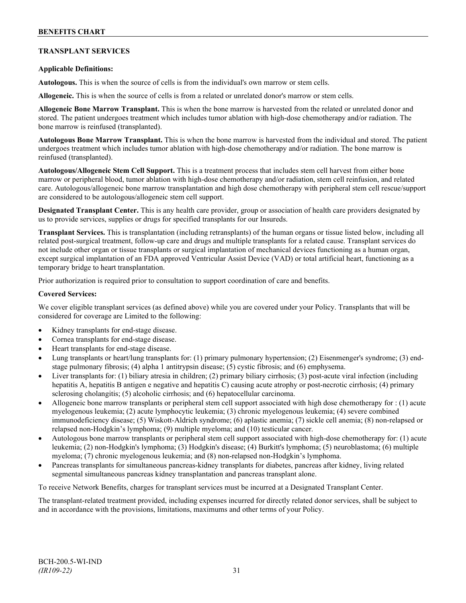## **TRANSPLANT SERVICES**

### **Applicable Definitions:**

**Autologous.** This is when the source of cells is from the individual's own marrow or stem cells.

**Allogeneic.** This is when the source of cells is from a related or unrelated donor's marrow or stem cells.

**Allogeneic Bone Marrow Transplant.** This is when the bone marrow is harvested from the related or unrelated donor and stored. The patient undergoes treatment which includes tumor ablation with high-dose chemotherapy and/or radiation. The bone marrow is reinfused (transplanted).

**Autologous Bone Marrow Transplant.** This is when the bone marrow is harvested from the individual and stored. The patient undergoes treatment which includes tumor ablation with high-dose chemotherapy and/or radiation. The bone marrow is reinfused (transplanted).

**Autologous/Allogeneic Stem Cell Support.** This is a treatment process that includes stem cell harvest from either bone marrow or peripheral blood, tumor ablation with high-dose chemotherapy and/or radiation, stem cell reinfusion, and related care. Autologous/allogeneic bone marrow transplantation and high dose chemotherapy with peripheral stem cell rescue/support are considered to be autologous/allogeneic stem cell support.

**Designated Transplant Center.** This is any health care provider, group or association of health care providers designated by us to provide services, supplies or drugs for specified transplants for our Insureds.

**Transplant Services.** This is transplantation (including retransplants) of the human organs or tissue listed below, including all related post-surgical treatment, follow-up care and drugs and multiple transplants for a related cause. Transplant services do not include other organ or tissue transplants or surgical implantation of mechanical devices functioning as a human organ, except surgical implantation of an FDA approved Ventricular Assist Device (VAD) or total artificial heart, functioning as a temporary bridge to heart transplantation.

Prior authorization is required prior to consultation to support coordination of care and benefits.

#### **Covered Services:**

We cover eligible transplant services (as defined above) while you are covered under your Policy. Transplants that will be considered for coverage are Limited to the following:

- Kidney transplants for end-stage disease.
- Cornea transplants for end-stage disease.
- Heart transplants for end-stage disease.
- Lung transplants or heart/lung transplants for: (1) primary pulmonary hypertension; (2) Eisenmenger's syndrome; (3) endstage pulmonary fibrosis; (4) alpha 1 antitrypsin disease; (5) cystic fibrosis; and (6) emphysema.
- Liver transplants for: (1) biliary atresia in children; (2) primary biliary cirrhosis; (3) post-acute viral infection (including hepatitis A, hepatitis B antigen e negative and hepatitis C) causing acute atrophy or post-necrotic cirrhosis; (4) primary sclerosing cholangitis; (5) alcoholic cirrhosis; and (6) hepatocellular carcinoma.
- Allogeneic bone marrow transplants or peripheral stem cell support associated with high dose chemotherapy for : (1) acute myelogenous leukemia; (2) acute lymphocytic leukemia; (3) chronic myelogenous leukemia; (4) severe combined immunodeficiency disease; (5) Wiskott-Aldrich syndrome; (6) aplastic anemia; (7) sickle cell anemia; (8) non-relapsed or relapsed non-Hodgkin's lymphoma; (9) multiple myeloma; and (10) testicular cancer.
- Autologous bone marrow transplants or peripheral stem cell support associated with high-dose chemotherapy for: (1) acute leukemia; (2) non-Hodgkin's lymphoma; (3) Hodgkin's disease; (4) Burkitt's lymphoma; (5) neuroblastoma; (6) multiple myeloma; (7) chronic myelogenous leukemia; and (8) non-relapsed non-Hodgkin's lymphoma.
- Pancreas transplants for simultaneous pancreas-kidney transplants for diabetes, pancreas after kidney, living related segmental simultaneous pancreas kidney transplantation and pancreas transplant alone.

To receive Network Benefits, charges for transplant services must be incurred at a Designated Transplant Center.

The transplant-related treatment provided, including expenses incurred for directly related donor services, shall be subject to and in accordance with the provisions, limitations, maximums and other terms of your Policy.